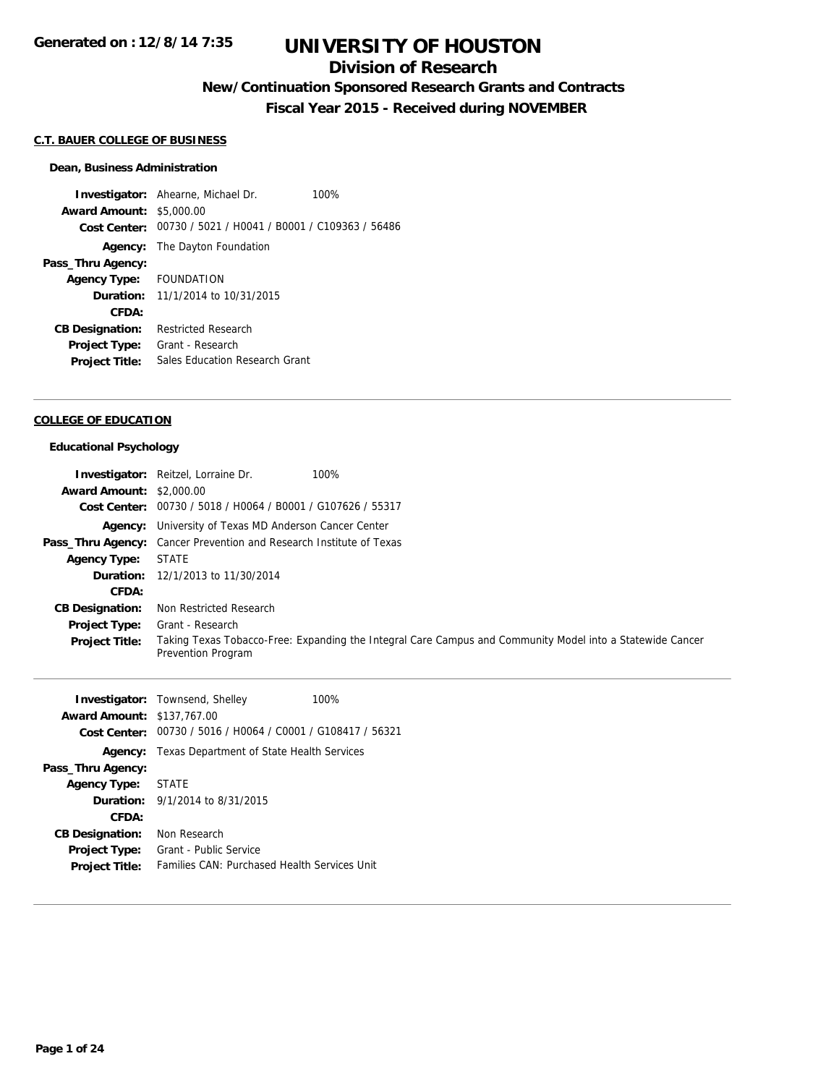## **Division of Research**

## **New/Continuation Sponsored Research Grants and Contracts**

**Fiscal Year 2015 - Received during NOVEMBER**

#### **C.T. BAUER COLLEGE OF BUSINESS**

#### **Dean, Business Administration**

**Investigator:** Ahearne, Michael Dr. 100% **Award Amount:** \$5,000.00 **Cost Center:** 00730 / 5021 / H0041 / B0001 / C109363 / 56486 **Agency:** The Dayton Foundation **Pass\_Thru Agency: Agency Type:** FOUNDATION **Duration:** 11/1/2014 to 10/31/2015 **CFDA: CB Designation:** Restricted Research **Project Type:** Grant - Research **Project Title:** Sales Education Research Grant

#### **COLLEGE OF EDUCATION**

#### **Educational Psychology**

|                                 | <b>Investigator:</b> Reitzel, Lorraine Dr.<br>100%                                                                              |
|---------------------------------|---------------------------------------------------------------------------------------------------------------------------------|
| <b>Award Amount: \$2,000.00</b> |                                                                                                                                 |
|                                 | Cost Center: 00730 / 5018 / H0064 / B0001 / G107626 / 55317                                                                     |
|                                 | <b>Agency:</b> University of Texas MD Anderson Cancer Center                                                                    |
|                                 | <b>Pass_Thru Agency:</b> Cancer Prevention and Research Institute of Texas                                                      |
| <b>Agency Type:</b>             | <b>STATE</b>                                                                                                                    |
|                                 | <b>Duration:</b> 12/1/2013 to 11/30/2014                                                                                        |
| CFDA:                           |                                                                                                                                 |
| <b>CB Designation:</b>          | Non Restricted Research                                                                                                         |
| <b>Project Type:</b>            | Grant - Research                                                                                                                |
| <b>Project Title:</b>           | Taking Texas Tobacco-Free: Expanding the Integral Care Campus and Community Model into a Statewide Cancer<br>Prevention Program |

| <b>Award Amount: \$137,767.00</b><br><b>Cost Center:</b> | <b>Investigator:</b> Townsend, Shelley<br>00730 / 5016 / H0064 / C0001 / G108417 / 56321 | 100% |
|----------------------------------------------------------|------------------------------------------------------------------------------------------|------|
|                                                          | <b>Agency:</b> Texas Department of State Health Services                                 |      |
| Pass_Thru Agency:                                        |                                                                                          |      |
| <b>Agency Type:</b>                                      | STATE                                                                                    |      |
|                                                          | <b>Duration:</b> $9/1/2014$ to $8/31/2015$                                               |      |
| CFDA:                                                    |                                                                                          |      |
| <b>CB Designation:</b>                                   | Non Research                                                                             |      |
| <b>Project Type:</b>                                     | Grant - Public Service                                                                   |      |
| <b>Project Title:</b>                                    | <b>Families CAN: Purchased Health Services Unit</b>                                      |      |
|                                                          |                                                                                          |      |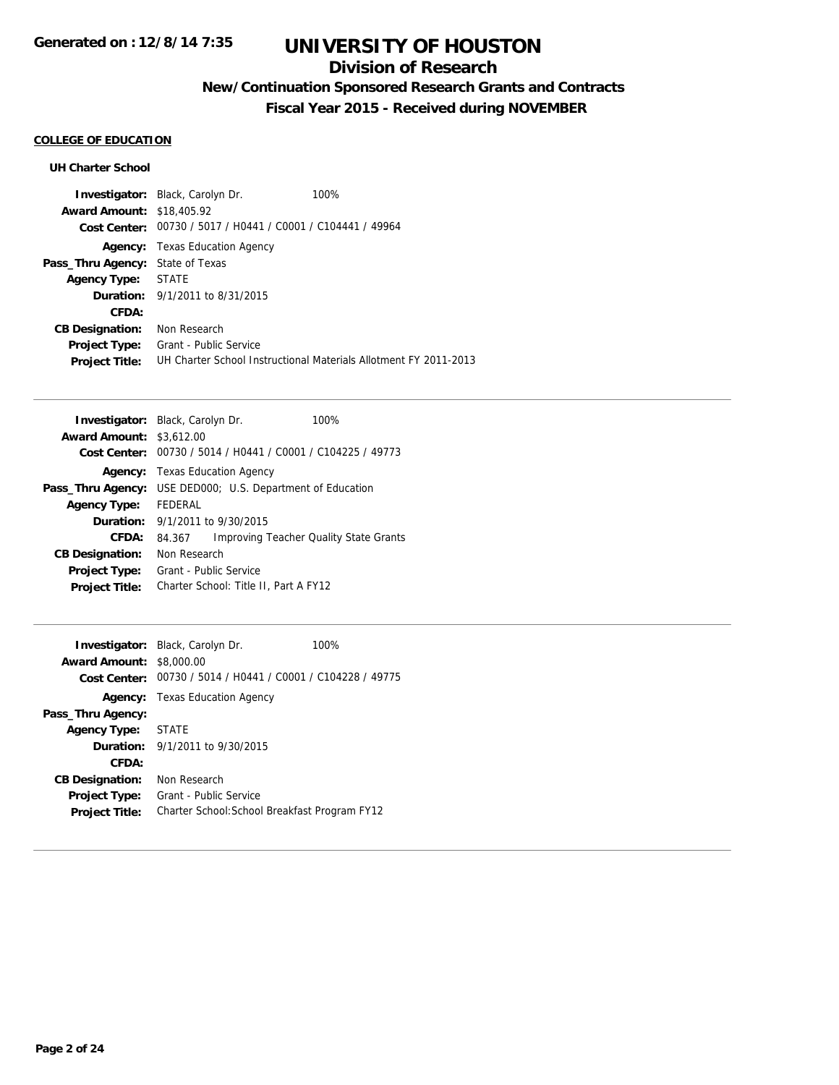## **Division of Research**

## **New/Continuation Sponsored Research Grants and Contracts**

**Fiscal Year 2015 - Received during NOVEMBER**

## **COLLEGE OF EDUCATION**

### **UH Charter School**

|                                         | <b>Investigator:</b> Black, Carolyn Dr.                     | 100%                                                             |
|-----------------------------------------|-------------------------------------------------------------|------------------------------------------------------------------|
| <b>Award Amount: \$18,405.92</b>        |                                                             |                                                                  |
|                                         | Cost Center: 00730 / 5017 / H0441 / C0001 / C104441 / 49964 |                                                                  |
| Agency:                                 | Texas Education Agency                                      |                                                                  |
| <b>Pass_Thru Agency: State of Texas</b> |                                                             |                                                                  |
| <b>Agency Type:</b>                     | STATE                                                       |                                                                  |
|                                         | <b>Duration:</b> 9/1/2011 to 8/31/2015                      |                                                                  |
| CFDA:                                   |                                                             |                                                                  |
| <b>CB Designation:</b>                  | Non Research                                                |                                                                  |
| <b>Project Type:</b>                    | Grant - Public Service                                      |                                                                  |
| <b>Project Title:</b>                   |                                                             | UH Charter School Instructional Materials Allotment FY 2011-2013 |

|                                 | <b>Investigator:</b> Black, Carolyn Dr.        | 100%                                     |
|---------------------------------|------------------------------------------------|------------------------------------------|
| <b>Award Amount: \$3,612.00</b> |                                                |                                          |
| Cost Center:                    | 00730 / 5014 / H0441 / C0001 / C104225 / 49773 |                                          |
| Agency:                         | <b>Texas Education Agency</b>                  |                                          |
| Pass_Thru Agency:               |                                                | USE DED000; U.S. Department of Education |
| <b>Agency Type:</b>             | FEDERAL                                        |                                          |
|                                 | <b>Duration:</b> $9/1/2011$ to $9/30/2015$     |                                          |
| CFDA:                           | 84.367                                         | Improving Teacher Quality State Grants   |
| <b>CB Designation:</b>          | Non Research                                   |                                          |
| <b>Project Type:</b>            | Grant - Public Service                         |                                          |
| <b>Project Title:</b>           | Charter School: Title II, Part A FY12          |                                          |

| <b>Award Amount: \$8,000.00</b> | Investigator: Black, Carolyn Dr.<br>Cost Center: 00730 / 5014 / H0441 / C0001 / C104228 / 49775 | 100% |
|---------------------------------|-------------------------------------------------------------------------------------------------|------|
|                                 | <b>Agency:</b> Texas Education Agency                                                           |      |
| Pass_Thru Agency:               |                                                                                                 |      |
| Agency Type: STATE              |                                                                                                 |      |
|                                 | <b>Duration:</b> $9/1/2011$ to $9/30/2015$                                                      |      |
| CFDA:                           |                                                                                                 |      |
| <b>CB Designation:</b>          | Non Research                                                                                    |      |
| <b>Project Type:</b>            | Grant - Public Service                                                                          |      |
| <b>Project Title:</b>           | Charter School: School Breakfast Program FY12                                                   |      |
|                                 |                                                                                                 |      |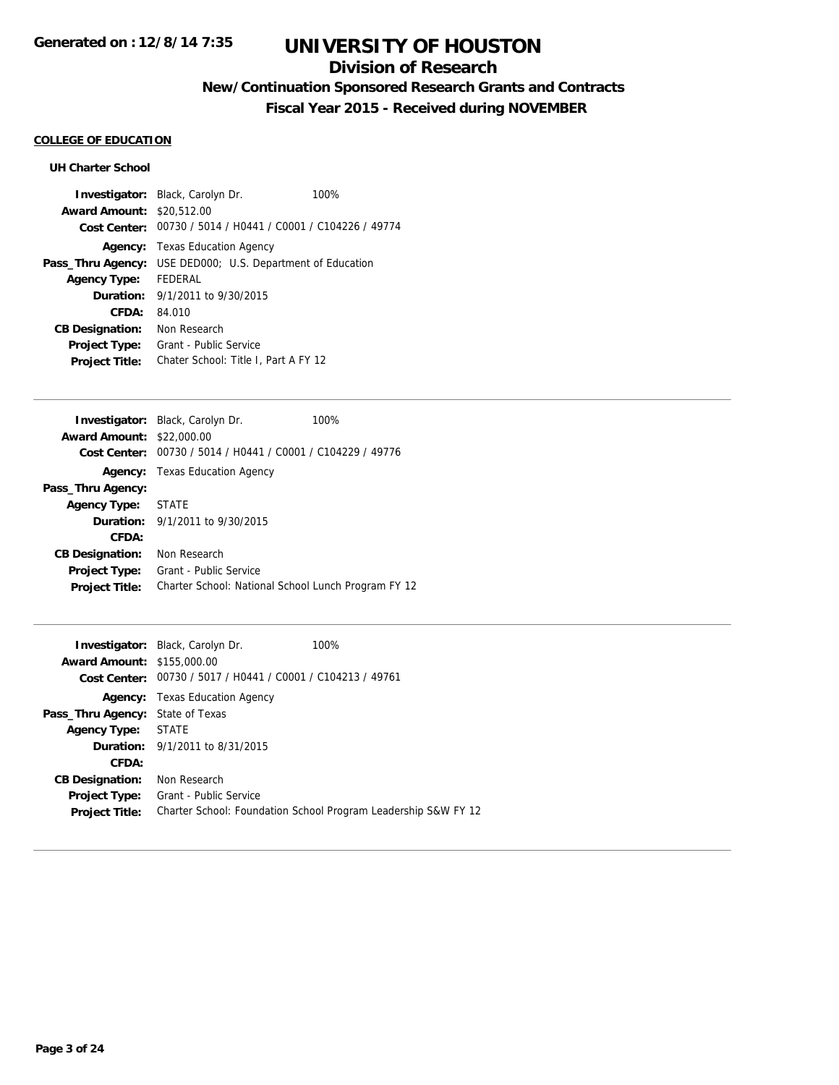## **Division of Research**

## **New/Continuation Sponsored Research Grants and Contracts**

**Fiscal Year 2015 - Received during NOVEMBER**

### **COLLEGE OF EDUCATION**

### **UH Charter School**

|                                  | <b>Investigator:</b> Black, Carolyn Dr.                           | 100% |
|----------------------------------|-------------------------------------------------------------------|------|
| <b>Award Amount: \$20,512.00</b> |                                                                   |      |
|                                  | Cost Center: 00730 / 5014 / H0441 / C0001 / C104226 / 49774       |      |
|                                  | <b>Agency:</b> Texas Education Agency                             |      |
|                                  | <b>Pass_Thru Agency:</b> USE DED000; U.S. Department of Education |      |
| <b>Agency Type:</b>              | FFDFRAI                                                           |      |
|                                  | <b>Duration:</b> 9/1/2011 to 9/30/2015                            |      |
| CFDA:                            | 84.010                                                            |      |
| <b>CB Designation:</b>           | Non Research                                                      |      |
| <b>Project Type:</b>             | Grant - Public Service                                            |      |
| <b>Project Title:</b>            | Chater School: Title I, Part A FY 12                              |      |
|                                  |                                                                   |      |

|                                  | <b>Investigator:</b> Black, Carolyn Dr.<br>100%     |
|----------------------------------|-----------------------------------------------------|
| <b>Award Amount: \$22,000.00</b> |                                                     |
| Cost Center:                     | 00730 / 5014 / H0441 / C0001 / C104229 / 49776      |
|                                  | <b>Agency:</b> Texas Education Agency               |
| Pass_Thru Agency:                |                                                     |
| <b>Agency Type:</b>              | STATE                                               |
|                                  | <b>Duration:</b> 9/1/2011 to 9/30/2015              |
| CFDA:                            |                                                     |
| <b>CB Designation:</b>           | Non Research                                        |
| <b>Project Type:</b>             | Grant - Public Service                              |
| <b>Project Title:</b>            | Charter School: National School Lunch Program FY 12 |

| <b>Award Amount: \$155,000.00</b>       | <b>Investigator:</b> Black, Carolyn Dr.<br>Cost Center: 00730 / 5017 / H0441 / C0001 / C104213 / 49761 | 100%                                                           |
|-----------------------------------------|--------------------------------------------------------------------------------------------------------|----------------------------------------------------------------|
|                                         | <b>Agency:</b> Texas Education Agency                                                                  |                                                                |
| <b>Pass_Thru Agency: State of Texas</b> |                                                                                                        |                                                                |
| Agency Type:                            | <b>STATE</b>                                                                                           |                                                                |
|                                         | <b>Duration:</b> 9/1/2011 to 8/31/2015                                                                 |                                                                |
| CFDA:                                   |                                                                                                        |                                                                |
| <b>CB Designation:</b>                  | Non Research                                                                                           |                                                                |
| <b>Project Type:</b>                    | Grant - Public Service                                                                                 |                                                                |
| <b>Project Title:</b>                   |                                                                                                        | Charter School: Foundation School Program Leadership S&W FY 12 |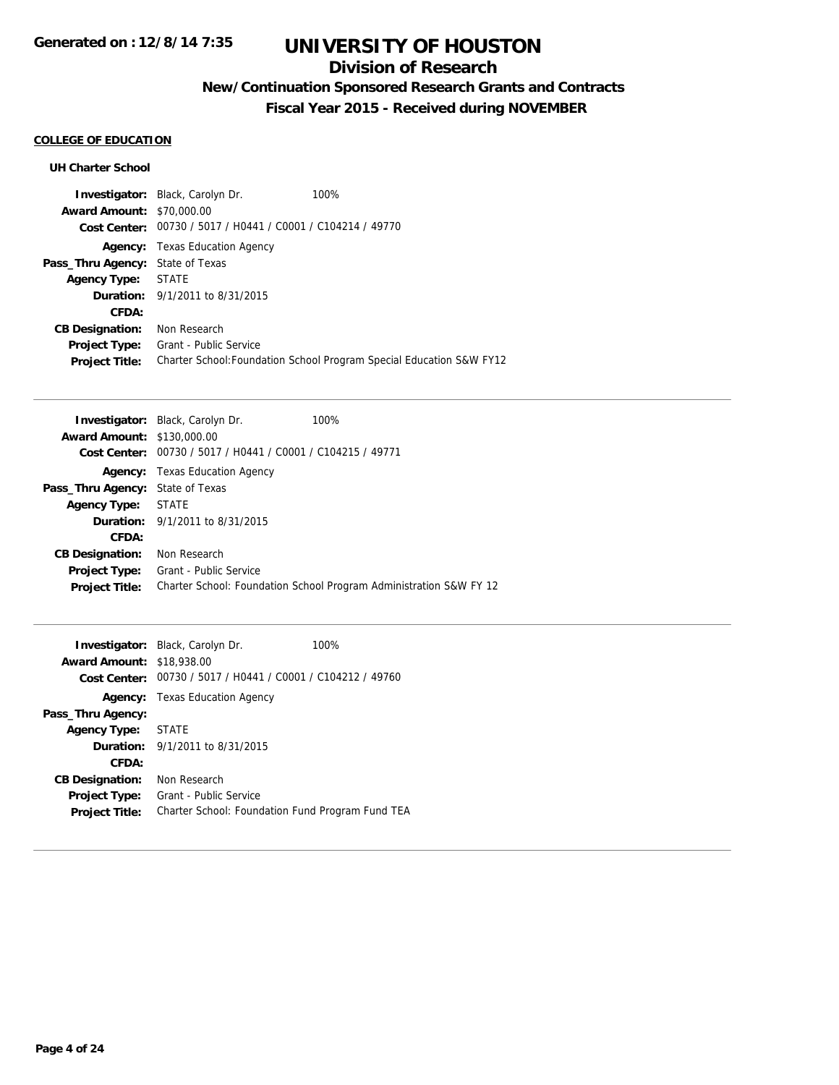## **Division of Research**

## **New/Continuation Sponsored Research Grants and Contracts**

**Fiscal Year 2015 - Received during NOVEMBER**

## **COLLEGE OF EDUCATION**

#### **UH Charter School**

|                                         | <b>Investigator:</b> Black, Carolyn Dr.                     | 100%                                                                 |
|-----------------------------------------|-------------------------------------------------------------|----------------------------------------------------------------------|
| <b>Award Amount: \$70,000.00</b>        |                                                             |                                                                      |
|                                         | Cost Center: 00730 / 5017 / H0441 / C0001 / C104214 / 49770 |                                                                      |
|                                         | <b>Agency:</b> Texas Education Agency                       |                                                                      |
| <b>Pass_Thru Agency:</b> State of Texas |                                                             |                                                                      |
| <b>Agency Type:</b>                     | STATE                                                       |                                                                      |
|                                         | <b>Duration:</b> 9/1/2011 to 8/31/2015                      |                                                                      |
| CFDA:                                   |                                                             |                                                                      |
| <b>CB Designation:</b>                  | Non Research                                                |                                                                      |
| <b>Project Type:</b>                    | Grant - Public Service                                      |                                                                      |
| <b>Project Title:</b>                   |                                                             | Charter School: Foundation School Program Special Education S&W FY12 |

|                                   | <b>Investigator:</b> Black, Carolyn Dr.        | 100%                                                               |
|-----------------------------------|------------------------------------------------|--------------------------------------------------------------------|
| <b>Award Amount: \$130,000.00</b> |                                                |                                                                    |
| Cost Center:                      | 00730 / 5017 / H0441 / C0001 / C104215 / 49771 |                                                                    |
| Agency:                           | Texas Education Agency                         |                                                                    |
| Pass_Thru Agency:                 | State of Texas                                 |                                                                    |
| <b>Agency Type:</b>               | STATE                                          |                                                                    |
|                                   | <b>Duration:</b> 9/1/2011 to 8/31/2015         |                                                                    |
| CFDA:                             |                                                |                                                                    |
| <b>CB Designation:</b>            | Non Research                                   |                                                                    |
| <b>Project Type:</b>              | Grant - Public Service                         |                                                                    |
| <b>Project Title:</b>             |                                                | Charter School: Foundation School Program Administration S&W FY 12 |

| <b>Award Amount: \$18,938,00</b> | <b>Investigator:</b> Black, Carolyn Dr.<br>100%<br>Cost Center: 00730 / 5017 / H0441 / C0001 / C104212 / 49760 |
|----------------------------------|----------------------------------------------------------------------------------------------------------------|
|                                  | <b>Agency:</b> Texas Education Agency                                                                          |
| Pass_Thru Agency:                |                                                                                                                |
| Agency Type: STATE               |                                                                                                                |
|                                  | <b>Duration:</b> $9/1/2011$ to $8/31/2015$                                                                     |
| CFDA:                            |                                                                                                                |
| <b>CB Designation:</b>           | Non Research                                                                                                   |
| <b>Project Type:</b>             | Grant - Public Service                                                                                         |
| <b>Project Title:</b>            | Charter School: Foundation Fund Program Fund TEA                                                               |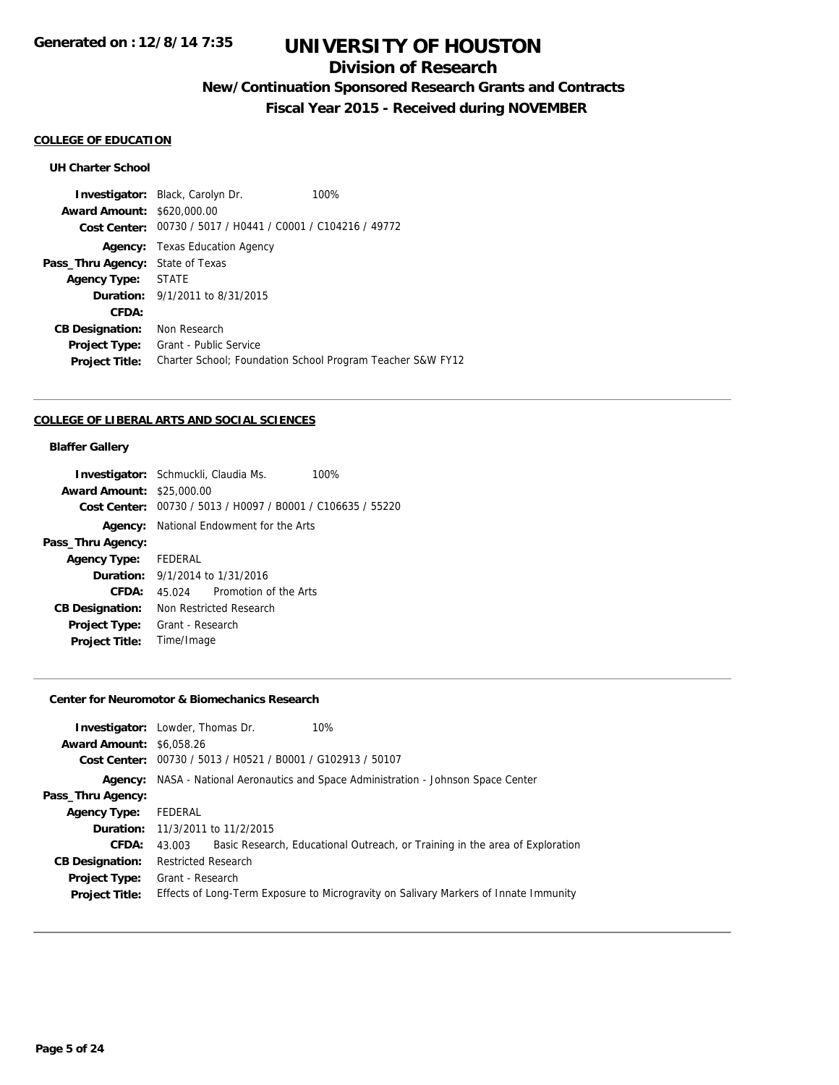### **Division of Research**

## **New/Continuation Sponsored Research Grants and Contracts**

**Fiscal Year 2015 - Received during NOVEMBER**

#### **COLLEGE OF EDUCATION**

#### **UH Charter School**

**Investigator:** Black, Carolyn Dr. 100% **Award Amount:** \$620,000.00 **Cost Center:** 00730 / 5017 / H0441 / C0001 / C104216 / 49772 **Agency:** Texas Education Agency **Pass\_Thru Agency:** State of Texas **Agency Type:** STATE **Duration:** 9/1/2011 to 8/31/2015 **CFDA: CB Designation:** Non Research **Project Type:** Grant - Public Service **Project Title:** Charter School; Foundation School Program Teacher S&W FY12

#### **COLLEGE OF LIBERAL ARTS AND SOCIAL SCIENCES**

#### **Blaffer Gallery**

|                                  | <b>Investigator:</b> Schmuckli, Claudia Ms.                 | 100% |
|----------------------------------|-------------------------------------------------------------|------|
| <b>Award Amount: \$25,000.00</b> |                                                             |      |
|                                  | Cost Center: 00730 / 5013 / H0097 / B0001 / C106635 / 55220 |      |
|                                  | <b>Agency:</b> National Endowment for the Arts              |      |
| Pass_Thru Agency:                |                                                             |      |
| Agency Type: FEDERAL             |                                                             |      |
|                                  | <b>Duration:</b> 9/1/2014 to 1/31/2016                      |      |
| CFDA:                            | 45.024 Promotion of the Arts                                |      |
| <b>CB Designation:</b>           | Non Restricted Research                                     |      |
| Project Type:                    | Grant - Research                                            |      |
| <b>Project Title:</b>            | Time/Image                                                  |      |

#### **Center for Neuromotor & Biomechanics Research**

| <b>Investigator:</b> Lowder, Thomas Dr.<br>10%<br><b>Award Amount: \$6,058.26</b>                             |  |
|---------------------------------------------------------------------------------------------------------------|--|
| Cost Center: 00730 / 5013 / H0521 / B0001 / G102913 / 50107                                                   |  |
| Agency: NASA - National Aeronautics and Space Administration - Johnson Space Center                           |  |
| Pass_Thru Agency:                                                                                             |  |
| FEDERAL<br><b>Agency Type:</b>                                                                                |  |
| <b>Duration:</b> 11/3/2011 to 11/2/2015                                                                       |  |
| Basic Research, Educational Outreach, or Training in the area of Exploration<br>CFDA:<br>43.003               |  |
| <b>CB Designation:</b><br><b>Restricted Research</b>                                                          |  |
| Grant - Research<br><b>Project Type:</b>                                                                      |  |
| Effects of Long-Term Exposure to Microgravity on Salivary Markers of Innate Immunity<br><b>Project Title:</b> |  |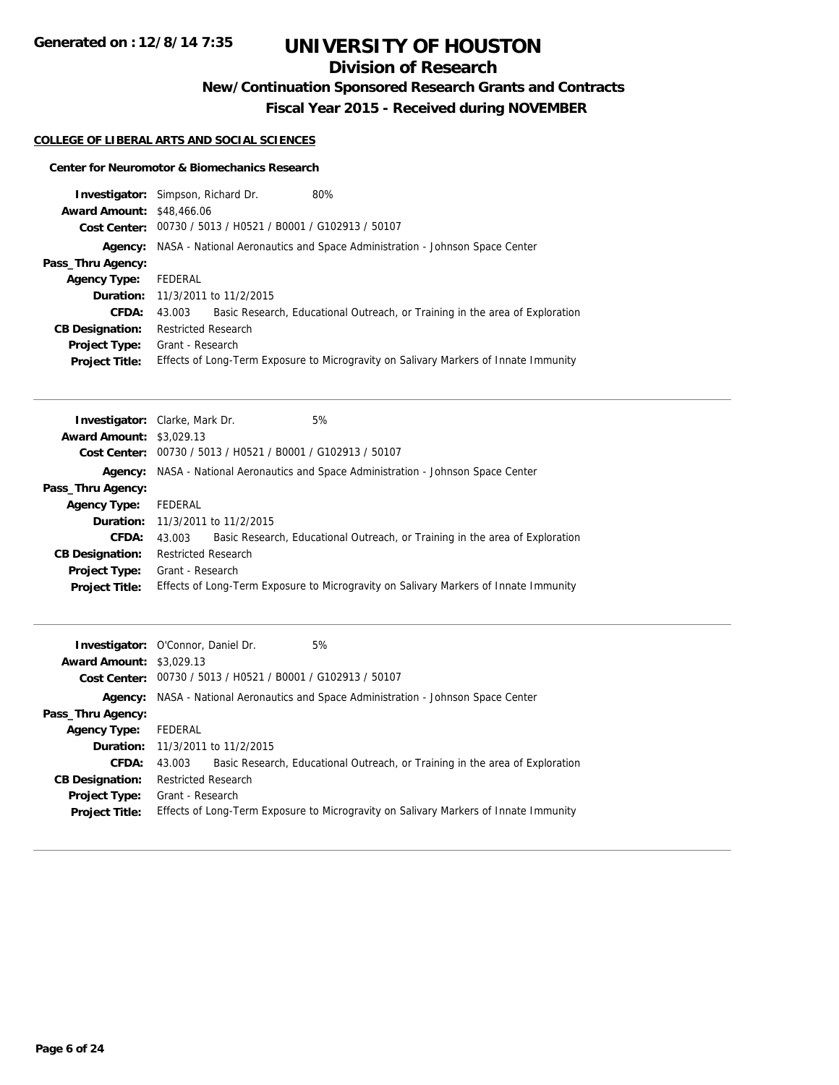## **Division of Research**

**New/Continuation Sponsored Research Grants and Contracts**

**Fiscal Year 2015 - Received during NOVEMBER**

#### **COLLEGE OF LIBERAL ARTS AND SOCIAL SCIENCES**

#### **Center for Neuromotor & Biomechanics Research**

|                                 | Investigator: Simpson, Richard Dr.<br>80%                                              |  |
|---------------------------------|----------------------------------------------------------------------------------------|--|
| <b>Award Amount:</b>            | \$48,466.06                                                                            |  |
|                                 | Cost Center: 00730 / 5013 / H0521 / B0001 / G102913 / 50107                            |  |
| Agency:                         | NASA - National Aeronautics and Space Administration - Johnson Space Center            |  |
| Pass_Thru Agency:               |                                                                                        |  |
| <b>Agency Type:</b>             | <b>FEDERAL</b>                                                                         |  |
| Duration:                       | 11/3/2011 to 11/2/2015                                                                 |  |
| CFDA:                           | 43.003<br>Basic Research, Educational Outreach, or Training in the area of Exploration |  |
| <b>CB Designation:</b>          | <b>Restricted Research</b>                                                             |  |
| <b>Project Type:</b>            | Grant - Research                                                                       |  |
| <b>Project Title:</b>           | Effects of Long-Term Exposure to Microgravity on Salivary Markers of Innate Immunity   |  |
|                                 |                                                                                        |  |
|                                 |                                                                                        |  |
|                                 | 5%<br><b>Investigator:</b> Clarke, Mark Dr.                                            |  |
| <b>Award Amount: \$3,029.13</b> |                                                                                        |  |
| <b>Cost Center:</b>             | 00730 / 5013 / H0521 / B0001 / G102913 / 50107                                         |  |
| Agency:                         | NASA - National Aeronautics and Space Administration - Johnson Space Center            |  |
| Pass_Thru Agency:               |                                                                                        |  |
| <b>Agency Type:</b>             | <b>FEDERAL</b>                                                                         |  |
| Duration:                       | 11/3/2011 to 11/2/2015                                                                 |  |
| CFDA:                           | Basic Research, Educational Outreach, or Training in the area of Exploration<br>43.003 |  |
| <b>CB Designation:</b>          | <b>Restricted Research</b>                                                             |  |
| <b>Project Type:</b>            | Grant - Research                                                                       |  |
| <b>Project Title:</b>           | Effects of Long-Term Exposure to Microgravity on Salivary Markers of Innate Immunity   |  |
|                                 |                                                                                        |  |
|                                 | 5%<br>Investigator: O'Connor, Daniel Dr.                                               |  |
| <b>Award Amount: \$3,029.13</b> |                                                                                        |  |
|                                 | Cost Center: 00730 / 5013 / H0521 / B0001 / G102913 / 50107                            |  |
|                                 | Agency: NASA - National Aeronautics and Space Administration - Johnson Space Center    |  |
| Pass_Thru Agency:               |                                                                                        |  |

**CFDA:** 43.003 Basic Research, Educational Outreach, or Training in the area of Exploration

**Project Title:** Effects of Long-Term Exposure to Microgravity on Salivary Markers of Innate Immunity

**Agency Type:** FEDERAL

**CB Designation:** Restricted Research **Project Type:** Grant - Research

**Duration:** 11/3/2011 to 11/2/2015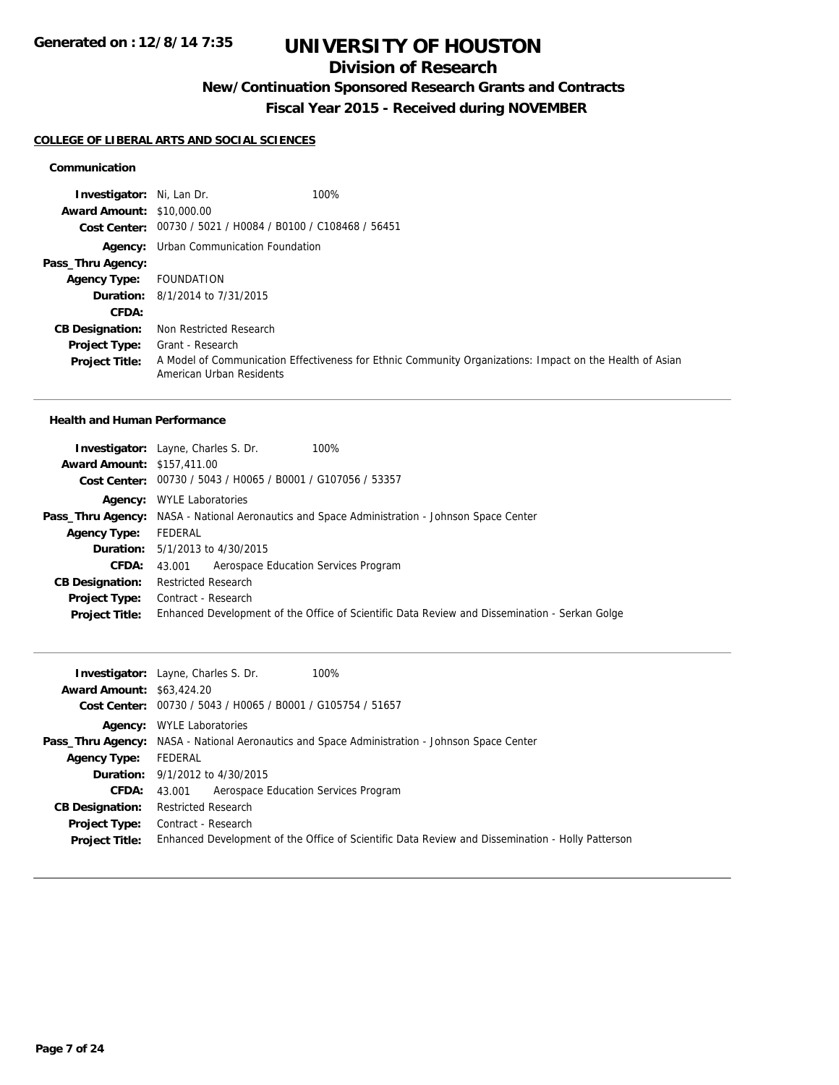## **Division of Research**

## **New/Continuation Sponsored Research Grants and Contracts**

**Fiscal Year 2015 - Received during NOVEMBER**

#### **COLLEGE OF LIBERAL ARTS AND SOCIAL SCIENCES**

#### **Communication**

| <b>Investigator:</b> Ni, Lan Dr. | 100%                                                                                                                                 |
|----------------------------------|--------------------------------------------------------------------------------------------------------------------------------------|
| <b>Award Amount: \$10,000.00</b> |                                                                                                                                      |
|                                  | Cost Center: 00730 / 5021 / H0084 / B0100 / C108468 / 56451                                                                          |
|                                  | <b>Agency:</b> Urban Communication Foundation                                                                                        |
| Pass_Thru Agency:                |                                                                                                                                      |
| <b>Agency Type:</b>              | FOUNDATION                                                                                                                           |
|                                  | <b>Duration:</b> 8/1/2014 to 7/31/2015                                                                                               |
| CFDA:                            |                                                                                                                                      |
| <b>CB Designation:</b>           | Non Restricted Research                                                                                                              |
| <b>Project Type:</b>             | Grant - Research                                                                                                                     |
| <b>Project Title:</b>            | A Model of Communication Effectiveness for Ethnic Community Organizations: Impact on the Health of Asian<br>American Urban Residents |

#### **Health and Human Performance**

|                                   | <b>Investigator:</b> Layne, Charles S. Dr.<br>100%                                                   |
|-----------------------------------|------------------------------------------------------------------------------------------------------|
| <b>Award Amount: \$157,411.00</b> |                                                                                                      |
|                                   | Cost Center: 00730 / 5043 / H0065 / B0001 / G107056 / 53357                                          |
| Agency:                           | <b>WYLE Laboratories</b>                                                                             |
|                                   | <b>Pass_Thru Agency:</b> NASA - National Aeronautics and Space Administration - Johnson Space Center |
| <b>Agency Type:</b>               | FEDERAL                                                                                              |
|                                   | <b>Duration:</b> 5/1/2013 to 4/30/2015                                                               |
| <b>CFDA:</b>                      | Aerospace Education Services Program<br>43.001                                                       |
| <b>CB Designation:</b>            | <b>Restricted Research</b>                                                                           |
| Project Type:                     | Contract - Research                                                                                  |
| <b>Project Title:</b>             | Enhanced Development of the Office of Scientific Data Review and Dissemination - Serkan Golge        |

|                                  | 100%<br><b>Investigator:</b> Layne, Charles S. Dr.                                                   |
|----------------------------------|------------------------------------------------------------------------------------------------------|
| <b>Award Amount: \$63,424.20</b> |                                                                                                      |
|                                  | Cost Center: 00730 / 5043 / H0065 / B0001 / G105754 / 51657                                          |
|                                  | <b>Agency:</b> WYLE Laboratories                                                                     |
|                                  | <b>Pass_Thru Agency:</b> NASA - National Aeronautics and Space Administration - Johnson Space Center |
| <b>Agency Type:</b>              | FEDERAL                                                                                              |
|                                  | <b>Duration:</b> 9/1/2012 to 4/30/2015                                                               |
|                                  | <b>CFDA:</b> 43,001 Aerospace Education Services Program                                             |
| <b>CB Designation:</b>           | <b>Restricted Research</b>                                                                           |
|                                  | <b>Project Type:</b> Contract - Research                                                             |
| <b>Project Title:</b>            | Enhanced Development of the Office of Scientific Data Review and Dissemination - Holly Patterson     |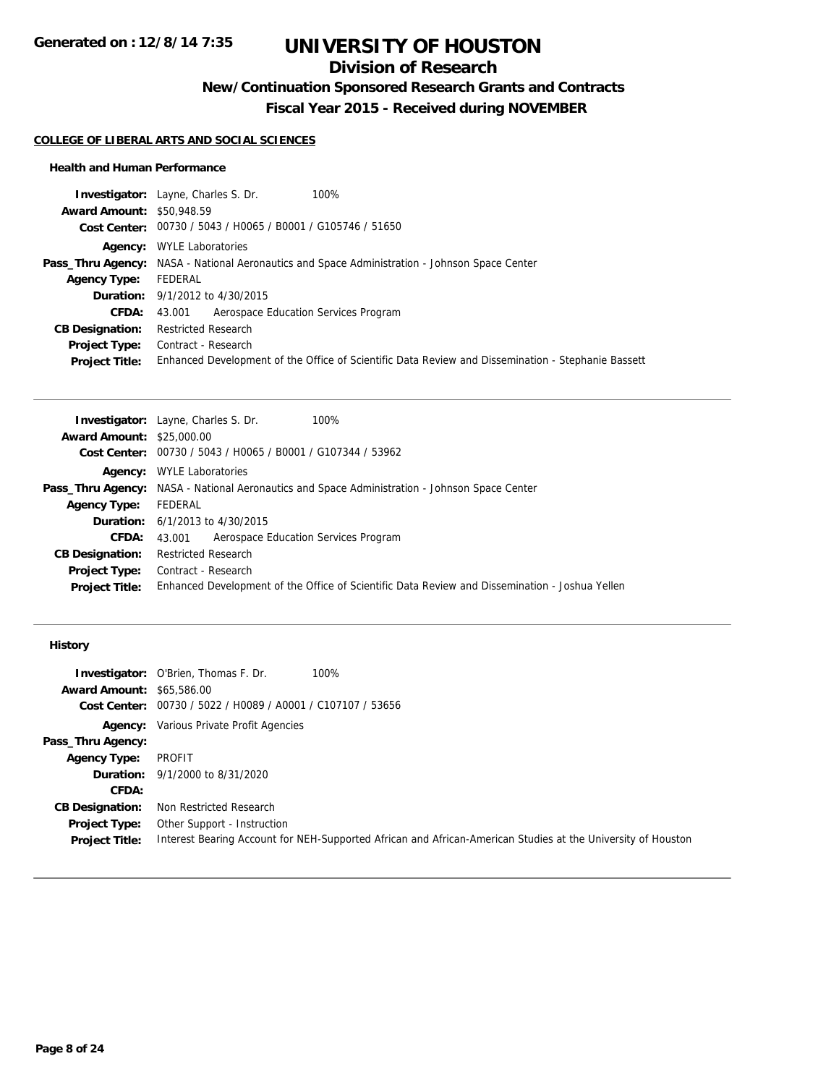## **Division of Research**

## **New/Continuation Sponsored Research Grants and Contracts**

**Fiscal Year 2015 - Received during NOVEMBER**

#### **COLLEGE OF LIBERAL ARTS AND SOCIAL SCIENCES**

#### **Health and Human Performance**

| <b>Award Amount: \$50,948.59</b><br>Cost Center: 00730 / 5043 / H0065 / B0001 / G105746 / 51650<br><b>Agency:</b> WYLE Laboratories<br><b>Pass_Thru Agency:</b> NASA - National Aeronautics and Space Administration - Johnson Space Center<br>FEDERAL<br><b>Agency Type:</b><br><b>Duration:</b> 9/1/2012 to 4/30/2015<br>43.001 Aerospace Education Services Program<br>CFDA:<br><b>Restricted Research</b><br><b>CB Designation:</b><br>Contract - Research<br><b>Project Type:</b><br><b>Project Title:</b> | 100%<br><b>Investigator:</b> Layne, Charles S. Dr.                                                 |
|-----------------------------------------------------------------------------------------------------------------------------------------------------------------------------------------------------------------------------------------------------------------------------------------------------------------------------------------------------------------------------------------------------------------------------------------------------------------------------------------------------------------|----------------------------------------------------------------------------------------------------|
|                                                                                                                                                                                                                                                                                                                                                                                                                                                                                                                 |                                                                                                    |
|                                                                                                                                                                                                                                                                                                                                                                                                                                                                                                                 |                                                                                                    |
|                                                                                                                                                                                                                                                                                                                                                                                                                                                                                                                 |                                                                                                    |
|                                                                                                                                                                                                                                                                                                                                                                                                                                                                                                                 |                                                                                                    |
|                                                                                                                                                                                                                                                                                                                                                                                                                                                                                                                 |                                                                                                    |
|                                                                                                                                                                                                                                                                                                                                                                                                                                                                                                                 |                                                                                                    |
|                                                                                                                                                                                                                                                                                                                                                                                                                                                                                                                 |                                                                                                    |
|                                                                                                                                                                                                                                                                                                                                                                                                                                                                                                                 |                                                                                                    |
|                                                                                                                                                                                                                                                                                                                                                                                                                                                                                                                 |                                                                                                    |
|                                                                                                                                                                                                                                                                                                                                                                                                                                                                                                                 | Enhanced Development of the Office of Scientific Data Review and Dissemination - Stephanie Bassett |

|                                  | <b>Investigator:</b> Layne, Charles S. Dr.<br>100%                                                   |
|----------------------------------|------------------------------------------------------------------------------------------------------|
| <b>Award Amount: \$25,000.00</b> |                                                                                                      |
|                                  | Cost Center: 00730 / 5043 / H0065 / B0001 / G107344 / 53962                                          |
| Agency:                          | <b>WYLE Laboratories</b>                                                                             |
|                                  | <b>Pass_Thru Agency:</b> NASA - National Aeronautics and Space Administration - Johnson Space Center |
| <b>Agency Type:</b>              | FEDERAL                                                                                              |
|                                  | <b>Duration:</b> $6/1/2013$ to $4/30/2015$                                                           |
| <b>CFDA:</b>                     | Aerospace Education Services Program<br>43.001                                                       |
| <b>CB Designation:</b>           | <b>Restricted Research</b>                                                                           |
| <b>Project Type:</b>             | Contract - Research                                                                                  |
| <b>Project Title:</b>            | Enhanced Development of the Office of Scientific Data Review and Dissemination - Joshua Yellen       |

#### **History**

|                                  | <b>Investigator:</b> O'Brien, Thomas F. Dr.                 | 100%                                                                                                         |
|----------------------------------|-------------------------------------------------------------|--------------------------------------------------------------------------------------------------------------|
| <b>Award Amount: \$65,586.00</b> |                                                             |                                                                                                              |
|                                  | Cost Center: 00730 / 5022 / H0089 / A0001 / C107107 / 53656 |                                                                                                              |
|                                  | <b>Agency:</b> Various Private Profit Agencies              |                                                                                                              |
| Pass_Thru Agency:                |                                                             |                                                                                                              |
| <b>Agency Type:</b>              | PROFIT                                                      |                                                                                                              |
|                                  | <b>Duration:</b> 9/1/2000 to 8/31/2020                      |                                                                                                              |
| <b>CFDA:</b>                     |                                                             |                                                                                                              |
| <b>CB Designation:</b>           | Non Restricted Research                                     |                                                                                                              |
| <b>Project Type:</b>             | Other Support - Instruction                                 |                                                                                                              |
| <b>Project Title:</b>            |                                                             | Interest Bearing Account for NEH-Supported African and African-American Studies at the University of Houston |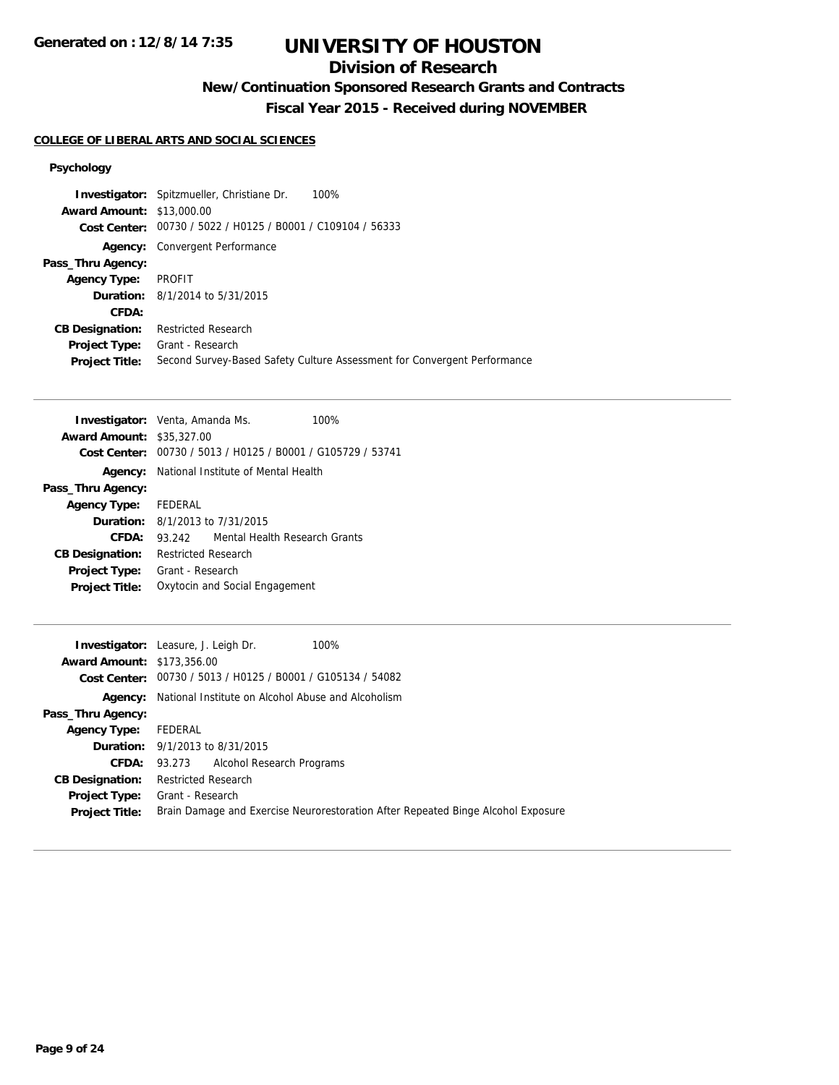## **Division of Research**

# **New/Continuation Sponsored Research Grants and Contracts**

**Fiscal Year 2015 - Received during NOVEMBER**

## **COLLEGE OF LIBERAL ARTS AND SOCIAL SCIENCES**

#### **Psychology**

|                                  | 100%<br><b>Investigator:</b> Spitzmueller, Christiane Dr.                |
|----------------------------------|--------------------------------------------------------------------------|
| <b>Award Amount: \$13,000.00</b> |                                                                          |
|                                  | Cost Center: 00730 / 5022 / H0125 / B0001 / C109104 / 56333              |
|                                  | <b>Agency:</b> Convergent Performance                                    |
| Pass_Thru Agency:                |                                                                          |
| <b>Agency Type:</b>              | PROFIT                                                                   |
|                                  | <b>Duration:</b> 8/1/2014 to 5/31/2015                                   |
| CFDA:                            |                                                                          |
| <b>CB Designation:</b>           | <b>Restricted Research</b>                                               |
| Project Type:                    | Grant - Research                                                         |
| <b>Project Title:</b>            | Second Survey-Based Safety Culture Assessment for Convergent Performance |
|                                  |                                                                          |

|                                  | <b>Investigator:</b> Venta, Amanda Ms.         | 100%                          |
|----------------------------------|------------------------------------------------|-------------------------------|
| <b>Award Amount: \$35,327.00</b> |                                                |                               |
| Cost Center:                     | 00730 / 5013 / H0125 / B0001 / G105729 / 53741 |                               |
| Agency:                          | National Institute of Mental Health            |                               |
| Pass_Thru Agency:                |                                                |                               |
| <b>Agency Type:</b>              | <b>FEDERAL</b>                                 |                               |
|                                  | <b>Duration:</b> $8/1/2013$ to $7/31/2015$     |                               |
| CFDA:                            | 93.242                                         | Mental Health Research Grants |
| <b>CB Designation:</b>           | Restricted Research                            |                               |
| <b>Project Type:</b>             | Grant - Research                               |                               |
| <b>Project Title:</b>            | Oxytocin and Social Engagement                 |                               |

|                                   | <b>Investigator:</b> Leasure, J. Leigh Dr.<br>100%                               |
|-----------------------------------|----------------------------------------------------------------------------------|
| <b>Award Amount: \$173,356.00</b> |                                                                                  |
|                                   | Cost Center: 00730 / 5013 / H0125 / B0001 / G105134 / 54082                      |
|                                   | Agency: National Institute on Alcohol Abuse and Alcoholism                       |
| Pass_Thru Agency:                 |                                                                                  |
| <b>Agency Type:</b>               | FEDERAL                                                                          |
|                                   | <b>Duration:</b> 9/1/2013 to 8/31/2015                                           |
|                                   | <b>CFDA:</b> 93.273 Alcohol Research Programs                                    |
| <b>CB Designation:</b>            | <b>Restricted Research</b>                                                       |
| <b>Project Type:</b>              | Grant - Research                                                                 |
| <b>Project Title:</b>             | Brain Damage and Exercise Neurorestoration After Repeated Binge Alcohol Exposure |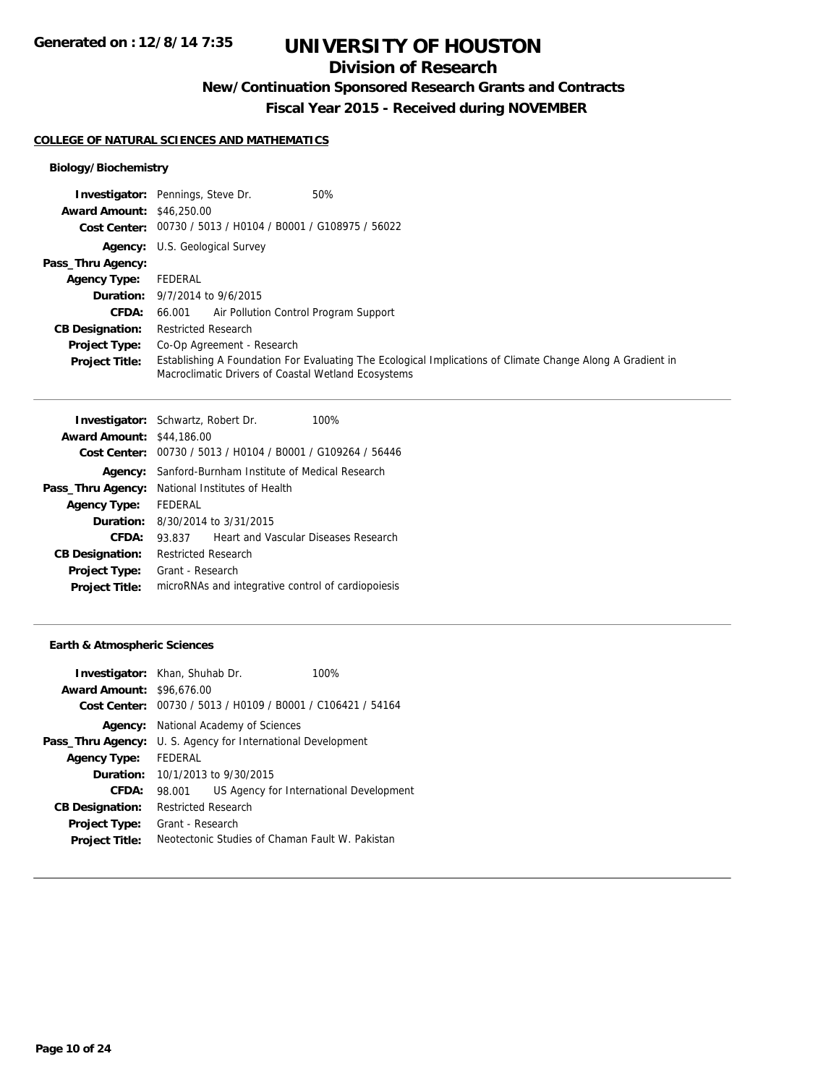## **Division of Research**

**New/Continuation Sponsored Research Grants and Contracts**

**Fiscal Year 2015 - Received during NOVEMBER**

#### **COLLEGE OF NATURAL SCIENCES AND MATHEMATICS**

#### **Biology/Biochemistry**

|                                  | 50%<br><b>Investigator:</b> Pennings, Steve Dr.                                                                                                                   |
|----------------------------------|-------------------------------------------------------------------------------------------------------------------------------------------------------------------|
| <b>Award Amount: \$46,250.00</b> |                                                                                                                                                                   |
|                                  | Cost Center: 00730 / 5013 / H0104 / B0001 / G108975 / 56022                                                                                                       |
|                                  | <b>Agency:</b> U.S. Geological Survey                                                                                                                             |
| Pass_Thru Agency:                |                                                                                                                                                                   |
| <b>Agency Type:</b>              | FEDERAL                                                                                                                                                           |
|                                  | <b>Duration:</b> 9/7/2014 to 9/6/2015                                                                                                                             |
| <b>CFDA:</b>                     | 66,001 Air Pollution Control Program Support                                                                                                                      |
| <b>CB Designation:</b>           | <b>Restricted Research</b>                                                                                                                                        |
| <b>Project Type:</b>             | Co-Op Agreement - Research                                                                                                                                        |
| <b>Project Title:</b>            | Establishing A Foundation For Evaluating The Ecological Implications of Climate Change Along A Gradient in<br>Macroclimatic Drivers of Coastal Wetland Ecosystems |

| <b>Investigator:</b> Schwartz, Robert Dr. |                                                    |                                         | 100%                                           |
|-------------------------------------------|----------------------------------------------------|-----------------------------------------|------------------------------------------------|
| <b>Award Amount:</b>                      | \$44,186,00                                        |                                         |                                                |
| Cost Center:                              |                                                    |                                         | 00730 / 5013 / H0104 / B0001 / G109264 / 56446 |
| Agency:                                   | Sanford-Burnham Institute of Medical Research      |                                         |                                                |
| Pass_Thru Agency:                         |                                                    | National Institutes of Health           |                                                |
| <b>Agency Type:</b>                       | FEDERAL                                            |                                         |                                                |
|                                           |                                                    | <b>Duration:</b> 8/30/2014 to 3/31/2015 |                                                |
| CFDA:                                     | 93.837                                             |                                         | Heart and Vascular Diseases Research           |
| <b>CB Designation:</b>                    | Restricted Research                                |                                         |                                                |
| <b>Project Type:</b>                      | Grant - Research                                   |                                         |                                                |
| <b>Project Title:</b>                     | microRNAs and integrative control of cardiopoiesis |                                         |                                                |

#### **Earth & Atmospheric Sciences**

| <b>Award Amount: \$96,676,00</b> | <b>Investigator:</b> Khan, Shuhab Dr.       | 100%<br>Cost Center: 00730 / 5013 / H0109 / B0001 / C106421 / 54164 |  |
|----------------------------------|---------------------------------------------|---------------------------------------------------------------------|--|
|                                  | <b>Agency:</b> National Academy of Sciences |                                                                     |  |
| Pass_Thru Agency:                | U. S. Agency for International Development  |                                                                     |  |
| <b>Agency Type:</b>              | FEDERAL                                     |                                                                     |  |
|                                  | <b>Duration:</b> $10/1/2013$ to $9/30/2015$ |                                                                     |  |
| CFDA:                            | 98.001                                      | US Agency for International Development                             |  |
| <b>CB Designation:</b>           | <b>Restricted Research</b>                  |                                                                     |  |
| <b>Project Type:</b>             | Grant - Research                            |                                                                     |  |
| <b>Project Title:</b>            |                                             | Neotectonic Studies of Chaman Fault W. Pakistan                     |  |
|                                  |                                             |                                                                     |  |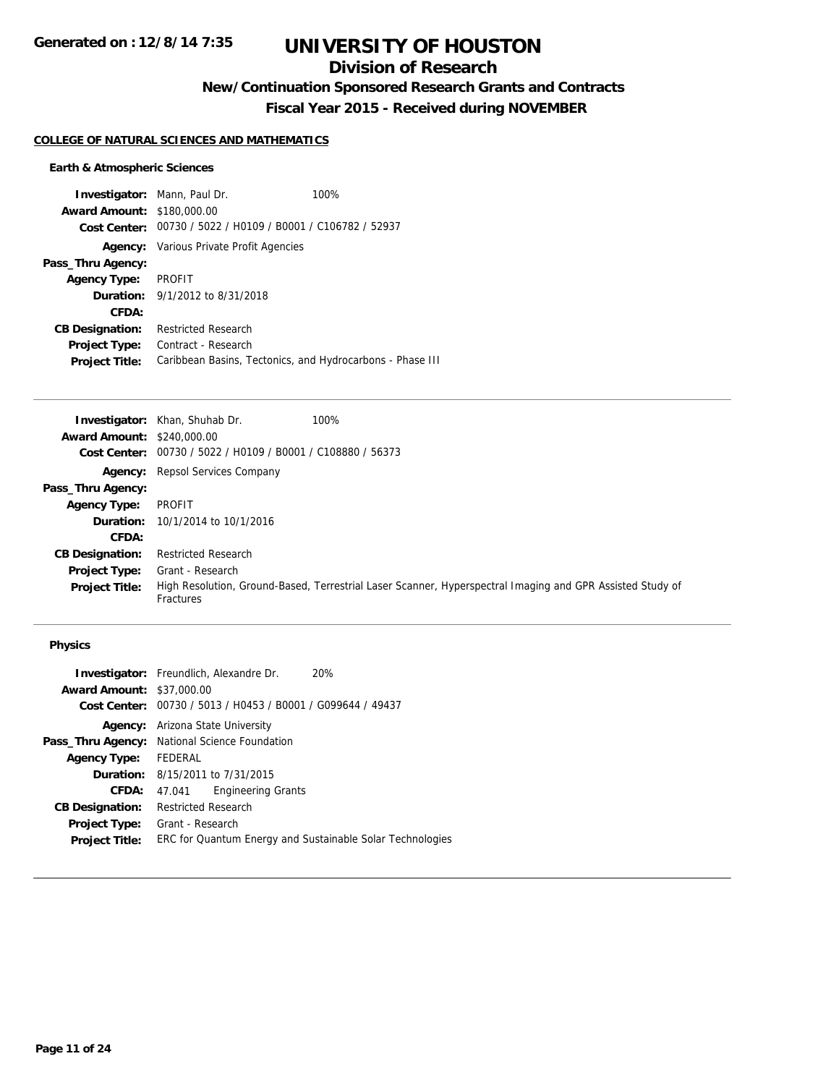## **Division of Research**

## **New/Continuation Sponsored Research Grants and Contracts**

**Fiscal Year 2015 - Received during NOVEMBER**

#### **COLLEGE OF NATURAL SCIENCES AND MATHEMATICS**

#### **Earth & Atmospheric Sciences**

|                                   | <b>Investigator:</b> Mann, Paul Dr.                         | 100% |
|-----------------------------------|-------------------------------------------------------------|------|
| <b>Award Amount: \$180,000.00</b> |                                                             |      |
|                                   | Cost Center: 00730 / 5022 / H0109 / B0001 / C106782 / 52937 |      |
|                                   | <b>Agency:</b> Various Private Profit Agencies              |      |
| Pass_Thru Agency:                 |                                                             |      |
| <b>Agency Type:</b>               | PROFIT                                                      |      |
|                                   | <b>Duration:</b> 9/1/2012 to 8/31/2018                      |      |
| CFDA:                             |                                                             |      |
| <b>CB Designation:</b>            | <b>Restricted Research</b>                                  |      |
| <b>Project Type:</b>              | Contract - Research                                         |      |
| <b>Project Title:</b>             | Caribbean Basins, Tectonics, and Hydrocarbons - Phase III   |      |

|                                   | 100%<br><b>Investigator:</b> Khan, Shuhab Dr.                                                                          |
|-----------------------------------|------------------------------------------------------------------------------------------------------------------------|
| <b>Award Amount: \$240,000.00</b> |                                                                                                                        |
|                                   | Cost Center: 00730 / 5022 / H0109 / B0001 / C108880 / 56373                                                            |
|                                   | <b>Agency:</b> Repsol Services Company                                                                                 |
| Pass_Thru Agency:                 |                                                                                                                        |
| <b>Agency Type:</b>               | PROFIT                                                                                                                 |
|                                   | <b>Duration:</b> 10/1/2014 to 10/1/2016                                                                                |
| <b>CFDA:</b>                      |                                                                                                                        |
| <b>CB Designation:</b>            | <b>Restricted Research</b>                                                                                             |
| <b>Project Type:</b>              | Grant - Research                                                                                                       |
| <b>Project Title:</b>             | High Resolution, Ground-Based, Terrestrial Laser Scanner, Hyperspectral Imaging and GPR Assisted Study of<br>Fractures |

#### **Physics**

|                        | <b>Investigator:</b> Freundlich, Alexandre Dr.<br>20%     |
|------------------------|-----------------------------------------------------------|
| <b>Award Amount:</b>   | \$37,000.00                                               |
| Cost Center:           | 00730 / 5013 / H0453 / B0001 / G099644 / 49437            |
| Agency:                | Arizona State University                                  |
|                        | Pass_Thru Agency: National Science Foundation             |
| <b>Agency Type:</b>    | FEDERAL                                                   |
|                        | <b>Duration:</b> 8/15/2011 to 7/31/2015                   |
| <b>CFDA:</b>           | <b>Engineering Grants</b><br>47.041                       |
| <b>CB Designation:</b> | <b>Restricted Research</b>                                |
| <b>Project Type:</b>   | Grant - Research                                          |
| <b>Project Title:</b>  | ERC for Quantum Energy and Sustainable Solar Technologies |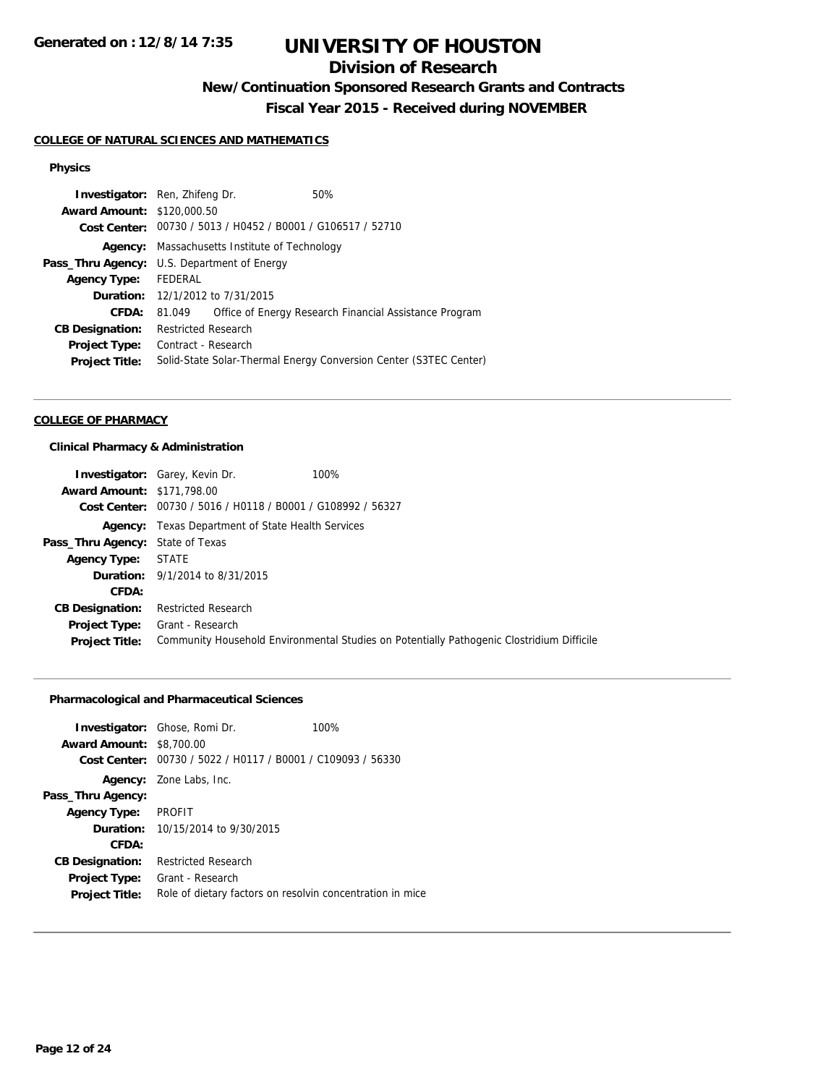## **Division of Research**

## **New/Continuation Sponsored Research Grants and Contracts**

**Fiscal Year 2015 - Received during NOVEMBER**

#### **COLLEGE OF NATURAL SCIENCES AND MATHEMATICS**

#### **Physics**

| <b>Award Amount: \$120,000.50</b><br>Cost Center: 00730 / 5013 / H0452 / B0001 / G106517 / 52710<br>Massachusetts Institute of Technology<br>Agency:<br><b>Pass_Thru Agency:</b> U.S. Department of Energy<br>Agency Type: FEDERAL<br>Duration: 12/1/2012 to 7/31/2015<br>Office of Energy Research Financial Assistance Program<br>CFDA:<br>81.049<br><b>Restricted Research</b><br><b>CB Designation:</b><br>Contract - Research<br><b>Project Type:</b><br>Solid-State Solar-Thermal Energy Conversion Center (S3TEC Center)<br><b>Project Title:</b> | <b>Investigator:</b> Ren, Zhifeng Dr. |  |  | 50% |
|----------------------------------------------------------------------------------------------------------------------------------------------------------------------------------------------------------------------------------------------------------------------------------------------------------------------------------------------------------------------------------------------------------------------------------------------------------------------------------------------------------------------------------------------------------|---------------------------------------|--|--|-----|
|                                                                                                                                                                                                                                                                                                                                                                                                                                                                                                                                                          |                                       |  |  |     |
|                                                                                                                                                                                                                                                                                                                                                                                                                                                                                                                                                          |                                       |  |  |     |
|                                                                                                                                                                                                                                                                                                                                                                                                                                                                                                                                                          |                                       |  |  |     |
|                                                                                                                                                                                                                                                                                                                                                                                                                                                                                                                                                          |                                       |  |  |     |
|                                                                                                                                                                                                                                                                                                                                                                                                                                                                                                                                                          |                                       |  |  |     |
|                                                                                                                                                                                                                                                                                                                                                                                                                                                                                                                                                          |                                       |  |  |     |
|                                                                                                                                                                                                                                                                                                                                                                                                                                                                                                                                                          |                                       |  |  |     |
|                                                                                                                                                                                                                                                                                                                                                                                                                                                                                                                                                          |                                       |  |  |     |
|                                                                                                                                                                                                                                                                                                                                                                                                                                                                                                                                                          |                                       |  |  |     |
|                                                                                                                                                                                                                                                                                                                                                                                                                                                                                                                                                          |                                       |  |  |     |

#### **COLLEGE OF PHARMACY**

#### **Clinical Pharmacy & Administration**

|                                         | 100%<br><b>Investigator:</b> Garey, Kevin Dr.               |                                                                                           |
|-----------------------------------------|-------------------------------------------------------------|-------------------------------------------------------------------------------------------|
| <b>Award Amount: \$171,798.00</b>       |                                                             |                                                                                           |
|                                         | Cost Center: 00730 / 5016 / H0118 / B0001 / G108992 / 56327 |                                                                                           |
|                                         | <b>Agency:</b> Texas Department of State Health Services    |                                                                                           |
| <b>Pass_Thru Agency:</b> State of Texas |                                                             |                                                                                           |
| <b>Agency Type: STATE</b>               |                                                             |                                                                                           |
|                                         | <b>Duration:</b> 9/1/2014 to 8/31/2015                      |                                                                                           |
| CFDA:                                   |                                                             |                                                                                           |
| <b>CB Designation:</b>                  | Restricted Research                                         |                                                                                           |
| <b>Project Type:</b>                    | Grant - Research                                            |                                                                                           |
| <b>Project Title:</b>                   |                                                             | Community Household Environmental Studies on Potentially Pathogenic Clostridium Difficile |

#### **Pharmacological and Pharmaceutical Sciences**

| <b>Award Amount:</b>   | <b>Investigator:</b> Ghose, Romi Dr.<br>\$8,700.00<br>Cost Center: 00730 / 5022 / H0117 / B0001 / C109093 / 56330 | 100% |
|------------------------|-------------------------------------------------------------------------------------------------------------------|------|
|                        | Agency: Zone Labs, Inc.                                                                                           |      |
| Pass_Thru Agency:      |                                                                                                                   |      |
| <b>Agency Type:</b>    | <b>PROFIT</b>                                                                                                     |      |
|                        | <b>Duration:</b> 10/15/2014 to 9/30/2015                                                                          |      |
| CFDA:                  |                                                                                                                   |      |
| <b>CB Designation:</b> | <b>Restricted Research</b>                                                                                        |      |
| <b>Project Type:</b>   | Grant - Research                                                                                                  |      |
| <b>Project Title:</b>  | Role of dietary factors on resolvin concentration in mice                                                         |      |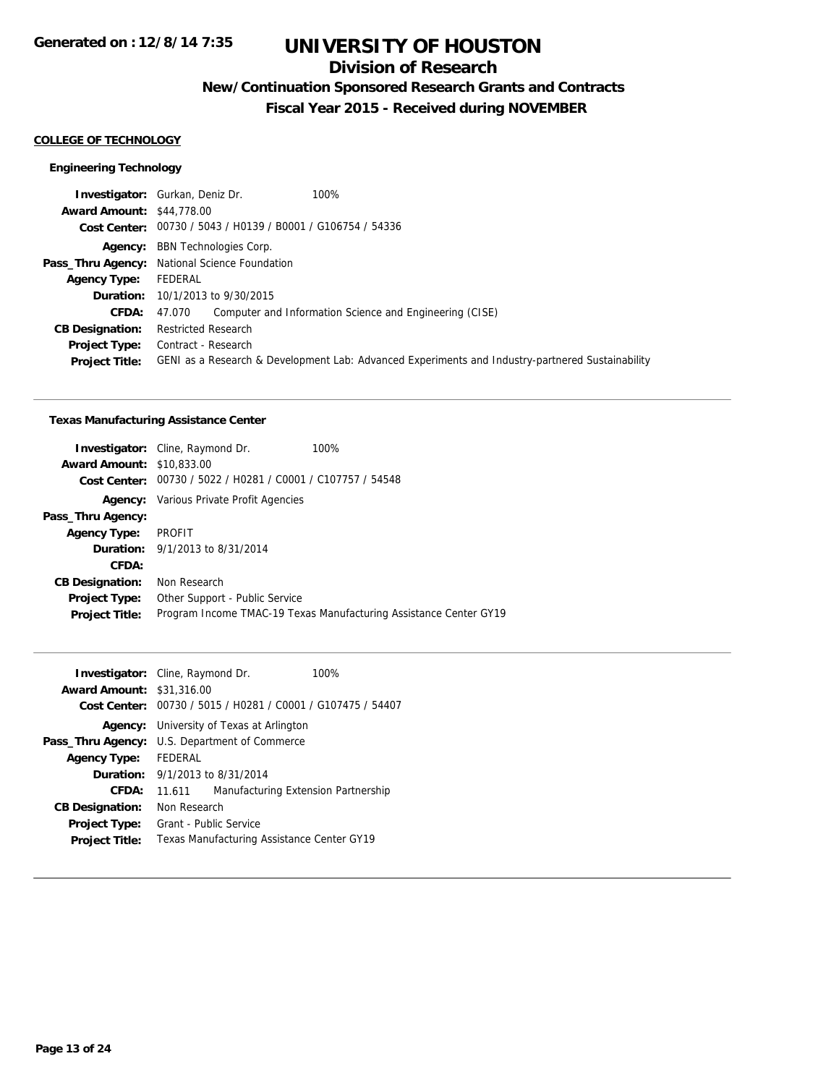## **Division of Research**

## **New/Continuation Sponsored Research Grants and Contracts**

**Fiscal Year 2015 - Received during NOVEMBER**

#### **COLLEGE OF TECHNOLOGY**

#### **Engineering Technology**

| <b>Investigator:</b> Gurkan, Deniz Dr.                         |                                                                                                  |
|----------------------------------------------------------------|--------------------------------------------------------------------------------------------------|
| <b>Award Amount: \$44,778.00</b>                               |                                                                                                  |
| Cost Center: 00730 / 5043 / H0139 / B0001 / G106754 / 54336    |                                                                                                  |
| <b>Agency:</b> BBN Technologies Corp.                          |                                                                                                  |
| Pass_Thru Agency: National Science Foundation                  |                                                                                                  |
| FEDERAL                                                        |                                                                                                  |
| <b>Duration:</b> 10/1/2013 to 9/30/2015                        |                                                                                                  |
| 47.070 Computer and Information Science and Engineering (CISE) |                                                                                                  |
| <b>Restricted Research</b>                                     |                                                                                                  |
| <b>Project Type:</b> Contract - Research                       |                                                                                                  |
|                                                                | GENI as a Research & Development Lab: Advanced Experiments and Industry-partnered Sustainability |
|                                                                | 100%                                                                                             |

#### **Texas Manufacturing Assistance Center**

|                                  | <b>Investigator:</b> Cline, Raymond Dr.                     | 100%                                                              |
|----------------------------------|-------------------------------------------------------------|-------------------------------------------------------------------|
| <b>Award Amount: \$10,833,00</b> |                                                             |                                                                   |
|                                  | Cost Center: 00730 / 5022 / H0281 / C0001 / C107757 / 54548 |                                                                   |
|                                  | <b>Agency:</b> Various Private Profit Agencies              |                                                                   |
| Pass_Thru Agency:                |                                                             |                                                                   |
| <b>Agency Type: PROFIT</b>       |                                                             |                                                                   |
|                                  | <b>Duration:</b> 9/1/2013 to 8/31/2014                      |                                                                   |
| CFDA:                            |                                                             |                                                                   |
| <b>CB Designation:</b>           | Non Research                                                |                                                                   |
| <b>Project Type:</b>             | Other Support - Public Service                              |                                                                   |
| <b>Project Title:</b>            |                                                             | Program Income TMAC-19 Texas Manufacturing Assistance Center GY19 |
|                                  |                                                             |                                                                   |

| <b>Award Amount: \$31,316.00</b>                     | <b>Investigator:</b> Cline, Raymond Dr.         |  | 100%<br>Cost Center: 00730 / 5015 / H0281 / C0001 / G107475 / 54407 |
|------------------------------------------------------|-------------------------------------------------|--|---------------------------------------------------------------------|
|                                                      | <b>Agency:</b> University of Texas at Arlington |  |                                                                     |
| <b>Pass_Thru Agency:</b> U.S. Department of Commerce |                                                 |  |                                                                     |
| <b>Agency Type:</b>                                  | FEDERAL                                         |  |                                                                     |
|                                                      | <b>Duration:</b> $9/1/2013$ to $8/31/2014$      |  |                                                                     |
| CFDA:                                                | 11.611                                          |  | Manufacturing Extension Partnership                                 |
| <b>CB Designation:</b>                               | Non Research                                    |  |                                                                     |
| Project Type:                                        | Grant - Public Service                          |  |                                                                     |
| <b>Project Title:</b>                                | Texas Manufacturing Assistance Center GY19      |  |                                                                     |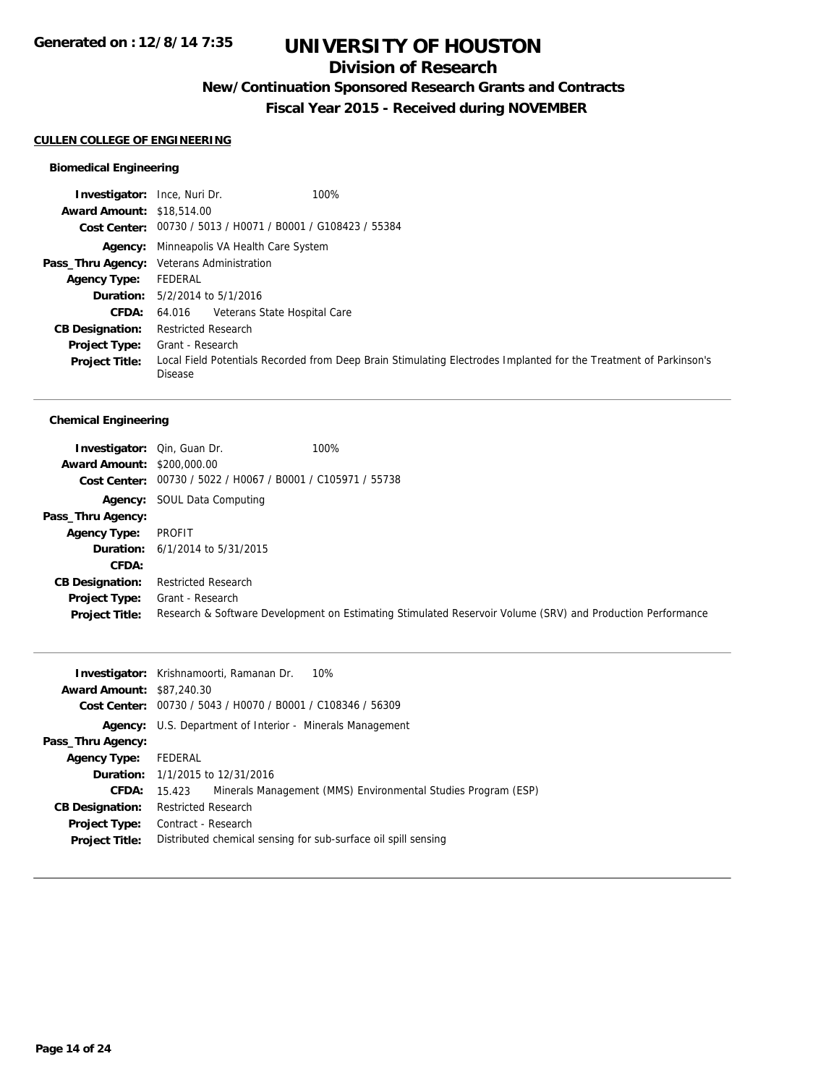## **Division of Research**

## **New/Continuation Sponsored Research Grants and Contracts**

**Fiscal Year 2015 - Received during NOVEMBER**

#### **CULLEN COLLEGE OF ENGINEERING**

#### **Biomedical Engineering**

| <b>Investigator:</b> Ince, Nuri Dr. | 100%                                                                                                                                |
|-------------------------------------|-------------------------------------------------------------------------------------------------------------------------------------|
| <b>Award Amount: \$18,514.00</b>    |                                                                                                                                     |
|                                     | Cost Center: 00730 / 5013 / H0071 / B0001 / G108423 / 55384                                                                         |
|                                     | <b>Agency:</b> Minneapolis VA Health Care System                                                                                    |
|                                     | Pass_Thru Agency: Veterans Administration                                                                                           |
| Agency Type:                        | FEDERAL                                                                                                                             |
|                                     | <b>Duration:</b> $5/2/2014$ to $5/1/2016$                                                                                           |
|                                     | <b>CFDA:</b> 64.016 Veterans State Hospital Care                                                                                    |
| <b>CB Designation:</b>              | <b>Restricted Research</b>                                                                                                          |
| <b>Project Type:</b>                | Grant - Research                                                                                                                    |
| <b>Project Title:</b>               | Local Field Potentials Recorded from Deep Brain Stimulating Electrodes Implanted for the Treatment of Parkinson's<br><b>Disease</b> |

#### **Chemical Engineering**

| <b>Investigator:</b> Qin, Guan Dr.<br><b>Award Amount: \$200,000.00</b> | Cost Center: 00730 / 5022 / H0067 / B0001 / C105971 / 55738 | 100%                                                                                                       |
|-------------------------------------------------------------------------|-------------------------------------------------------------|------------------------------------------------------------------------------------------------------------|
|                                                                         | <b>Agency:</b> SOUL Data Computing                          |                                                                                                            |
| Pass_Thru Agency:                                                       |                                                             |                                                                                                            |
| <b>Agency Type:</b>                                                     | PROFIT                                                      |                                                                                                            |
|                                                                         | <b>Duration:</b> 6/1/2014 to 5/31/2015                      |                                                                                                            |
| CFDA:                                                                   |                                                             |                                                                                                            |
| <b>CB Designation:</b>                                                  | <b>Restricted Research</b>                                  |                                                                                                            |
| <b>Project Type:</b><br><b>Project Title:</b>                           | Grant - Research                                            | Research & Software Development on Estimating Stimulated Reservoir Volume (SRV) and Production Performance |

|                                  | 10%<br><b>Investigator:</b> Krishnamoorti, Ramanan Dr.                  |  |  |  |
|----------------------------------|-------------------------------------------------------------------------|--|--|--|
| <b>Award Amount: \$87,240.30</b> |                                                                         |  |  |  |
|                                  | Cost Center: 00730 / 5043 / H0070 / B0001 / C108346 / 56309             |  |  |  |
|                                  | <b>Agency:</b> U.S. Department of Interior - Minerals Management        |  |  |  |
| Pass_Thru Agency:                |                                                                         |  |  |  |
| <b>Agency Type:</b>              | FEDERAL                                                                 |  |  |  |
|                                  | <b>Duration:</b> 1/1/2015 to 12/31/2016                                 |  |  |  |
| <b>CFDA:</b>                     | Minerals Management (MMS) Environmental Studies Program (ESP)<br>15.423 |  |  |  |
| <b>CB Designation:</b>           | <b>Restricted Research</b>                                              |  |  |  |
| <b>Project Type:</b>             | Contract - Research                                                     |  |  |  |
| <b>Project Title:</b>            | Distributed chemical sensing for sub-surface oil spill sensing          |  |  |  |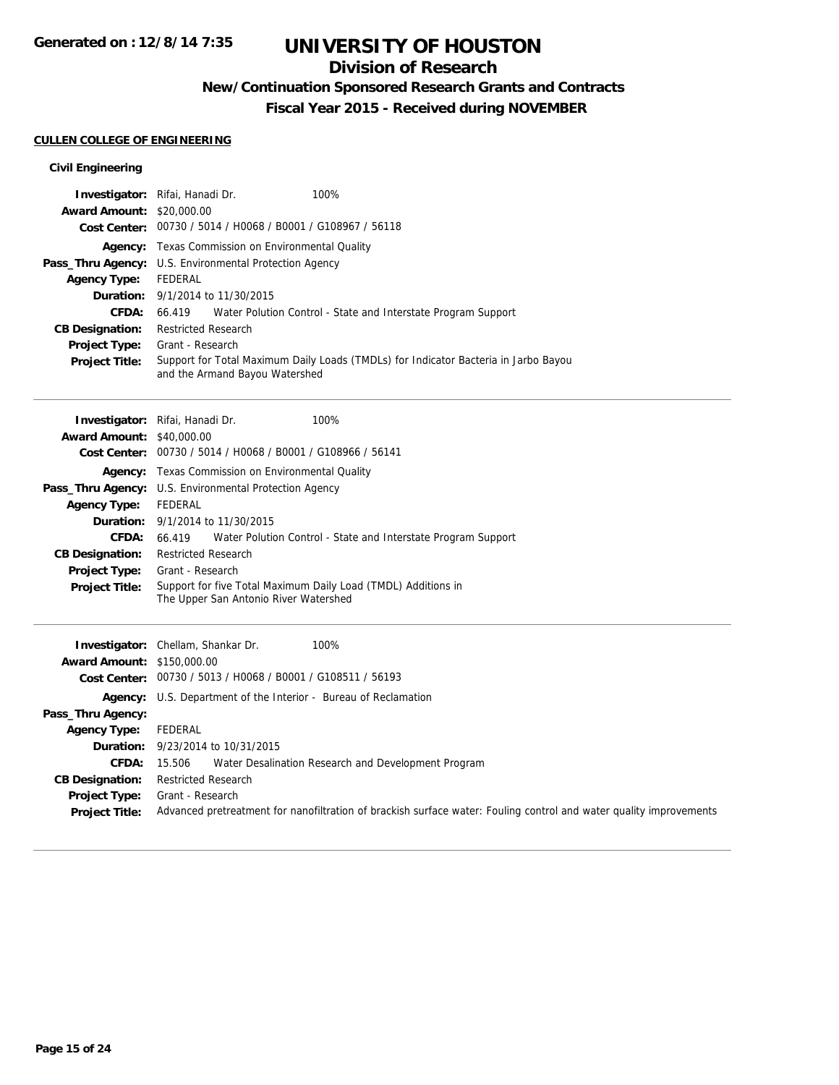## **Division of Research**

## **New/Continuation Sponsored Research Grants and Contracts**

**Fiscal Year 2015 - Received during NOVEMBER**

#### **CULLEN COLLEGE OF ENGINEERING**

#### **Civil Engineering**

|                                  | Investigator: Rifai, Hanadi Dr.<br>100%                                                                               |  |  |  |
|----------------------------------|-----------------------------------------------------------------------------------------------------------------------|--|--|--|
| <b>Award Amount: \$20,000.00</b> |                                                                                                                       |  |  |  |
|                                  | Cost Center: 00730 / 5014 / H0068 / B0001 / G108967 / 56118                                                           |  |  |  |
|                                  | <b>Agency:</b> Texas Commission on Environmental Quality                                                              |  |  |  |
|                                  | <b>Pass_Thru Agency:</b> U.S. Environmental Protection Agency                                                         |  |  |  |
| <b>Agency Type:</b>              | FEDERAL                                                                                                               |  |  |  |
|                                  | <b>Duration:</b> 9/1/2014 to 11/30/2015                                                                               |  |  |  |
| CFDA:                            | 66.419 Water Polution Control - State and Interstate Program Support                                                  |  |  |  |
| <b>CB Designation:</b>           | <b>Restricted Research</b>                                                                                            |  |  |  |
| <b>Project Type:</b>             | Grant - Research                                                                                                      |  |  |  |
| <b>Project Title:</b>            | Support for Total Maximum Daily Loads (TMDLs) for Indicator Bacteria in Jarbo Bayou<br>and the Armand Bayou Watershed |  |  |  |

|                                   | 100%<br><b>Investigator:</b> Rifai, Hanadi Dr.                                                         |  |  |  |  |
|-----------------------------------|--------------------------------------------------------------------------------------------------------|--|--|--|--|
| <b>Award Amount: \$40,000.00</b>  |                                                                                                        |  |  |  |  |
| <b>Cost Center:</b>               | 00730 / 5014 / H0068 / B0001 / G108966 / 56141                                                         |  |  |  |  |
|                                   | <b>Agency:</b> Texas Commission on Environmental Quality                                               |  |  |  |  |
|                                   | Pass_Thru Agency: U.S. Environmental Protection Agency                                                 |  |  |  |  |
| <b>Agency Type:</b>               | <b>FEDERAL</b>                                                                                         |  |  |  |  |
|                                   | <b>Duration:</b> 9/1/2014 to 11/30/2015                                                                |  |  |  |  |
| CFDA:                             | 66.419<br>Water Polution Control - State and Interstate Program Support                                |  |  |  |  |
| <b>CB Designation:</b>            | <b>Restricted Research</b>                                                                             |  |  |  |  |
| <b>Project Type:</b>              | Grant - Research                                                                                       |  |  |  |  |
| <b>Project Title:</b>             | Support for five Total Maximum Daily Load (TMDL) Additions in<br>The Upper San Antonio River Watershed |  |  |  |  |
|                                   | 100%<br><b>Investigator:</b> Chellam, Shankar Dr.                                                      |  |  |  |  |
| <b>Award Amount: \$150,000.00</b> |                                                                                                        |  |  |  |  |
| Cost Center:                      | 00730 / 5013 / H0068 / B0001 / G108511 / 56193                                                         |  |  |  |  |
|                                   |                                                                                                        |  |  |  |  |
|                                   | <b>Agency:</b> U.S. Department of the Interior - Bureau of Reclamation                                 |  |  |  |  |
| Pass_Thru Agency:                 |                                                                                                        |  |  |  |  |
| <b>Agency Type:</b>               | <b>FEDERAL</b>                                                                                         |  |  |  |  |
| Duration:                         | 9/23/2014 to 10/31/2015                                                                                |  |  |  |  |

**Project Type:** Grant - Research **Project Title:** Advanced pretreatment for nanofiltration of brackish surface water: Fouling control and water quality improvements

**CB Designation:** Restricted Research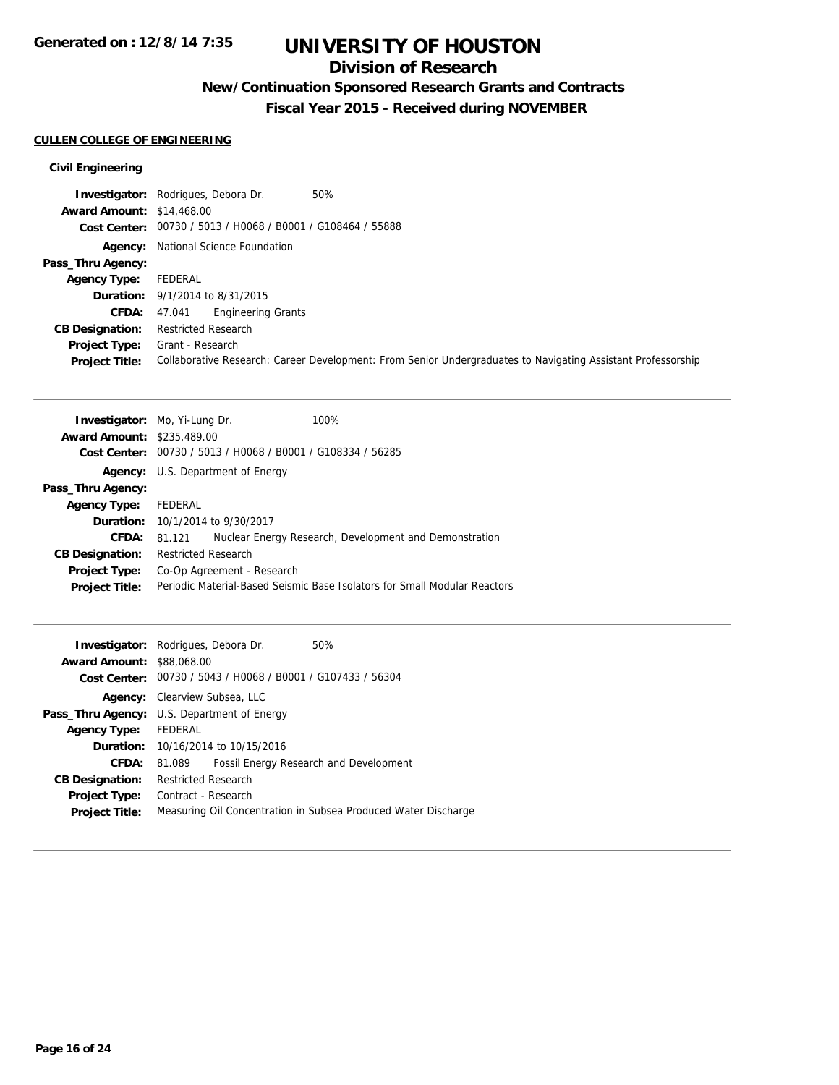## **Division of Research**

## **New/Continuation Sponsored Research Grants and Contracts**

**Fiscal Year 2015 - Received during NOVEMBER**

#### **CULLEN COLLEGE OF ENGINEERING**

#### **Civil Engineering**

|                                  | 50%<br><b>Investigator:</b> Rodrigues, Debora Dr.                                                            |
|----------------------------------|--------------------------------------------------------------------------------------------------------------|
| <b>Award Amount: \$14,468.00</b> |                                                                                                              |
|                                  | Cost Center: 00730 / 5013 / H0068 / B0001 / G108464 / 55888                                                  |
|                                  | <b>Agency:</b> National Science Foundation                                                                   |
| Pass_Thru Agency:                |                                                                                                              |
| <b>Agency Type:</b>              | FEDERAL                                                                                                      |
|                                  | <b>Duration:</b> 9/1/2014 to 8/31/2015                                                                       |
| <b>CFDA:</b>                     | <b>Engineering Grants</b><br>47.041                                                                          |
| <b>CB Designation:</b>           | <b>Restricted Research</b>                                                                                   |
| <b>Project Type:</b>             | Grant - Research                                                                                             |
| <b>Project Title:</b>            | Collaborative Research: Career Development: From Senior Undergraduates to Navigating Assistant Professorship |

|                                   | <b>Investigator:</b> Mo, Yi-Lung Dr.                                      |  | 100%                                                   |  |
|-----------------------------------|---------------------------------------------------------------------------|--|--------------------------------------------------------|--|
| <b>Award Amount: \$235,489.00</b> |                                                                           |  |                                                        |  |
| Cost Center:                      | 00730 / 5013 / H0068 / B0001 / G108334 / 56285                            |  |                                                        |  |
|                                   | <b>Agency:</b> U.S. Department of Energy                                  |  |                                                        |  |
| Pass_Thru Agency:                 |                                                                           |  |                                                        |  |
| <b>Agency Type:</b>               | FEDERAL                                                                   |  |                                                        |  |
|                                   | <b>Duration:</b> 10/1/2014 to 9/30/2017                                   |  |                                                        |  |
|                                   | CFDA: 81.121                                                              |  | Nuclear Energy Research, Development and Demonstration |  |
| <b>CB Designation:</b>            | <b>Restricted Research</b>                                                |  |                                                        |  |
| <b>Project Type:</b>              | Co-Op Agreement - Research                                                |  |                                                        |  |
| <b>Project Title:</b>             | Periodic Material-Based Seismic Base Isolators for Small Modular Reactors |  |                                                        |  |
|                                   |                                                                           |  |                                                        |  |

|                                  | <b>Investigator:</b> Rodrigues, Debora Dr.<br>50%              |                                        |  |  |  |
|----------------------------------|----------------------------------------------------------------|----------------------------------------|--|--|--|
| <b>Award Amount: \$88,068,00</b> |                                                                |                                        |  |  |  |
|                                  | Cost Center: 00730 / 5043 / H0068 / B0001 / G107433 / 56304    |                                        |  |  |  |
| Agency:                          | Clearview Subsea, LLC                                          |                                        |  |  |  |
|                                  | <b>Pass_Thru Agency:</b> U.S. Department of Energy             |                                        |  |  |  |
| <b>Agency Type:</b>              | FEDERAL                                                        |                                        |  |  |  |
|                                  | <b>Duration:</b> 10/16/2014 to 10/15/2016                      |                                        |  |  |  |
| CFDA:                            | 81.089                                                         | Fossil Energy Research and Development |  |  |  |
| <b>CB Designation:</b>           | <b>Restricted Research</b>                                     |                                        |  |  |  |
| <b>Project Type:</b>             | Contract - Research                                            |                                        |  |  |  |
| <b>Project Title:</b>            | Measuring Oil Concentration in Subsea Produced Water Discharge |                                        |  |  |  |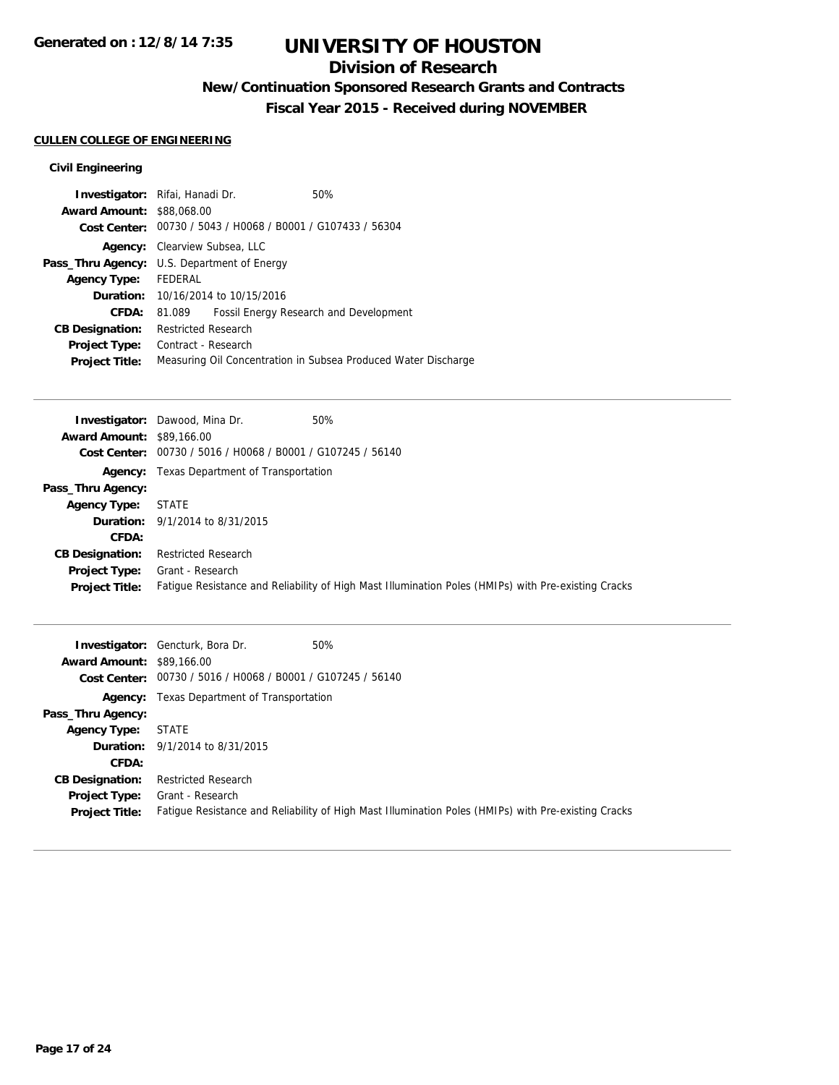## **Division of Research**

## **New/Continuation Sponsored Research Grants and Contracts**

**Fiscal Year 2015 - Received during NOVEMBER**

#### **CULLEN COLLEGE OF ENGINEERING**

#### **Civil Engineering**

| <b>Investigator:</b> Rifai, Hanadi Dr. |                                             |                                                             | 50%                                                            |  |
|----------------------------------------|---------------------------------------------|-------------------------------------------------------------|----------------------------------------------------------------|--|
| <b>Award Amount: \$88,068.00</b>       |                                             |                                                             |                                                                |  |
|                                        |                                             | Cost Center: 00730 / 5043 / H0068 / B0001 / G107433 / 56304 |                                                                |  |
|                                        |                                             | <b>Agency:</b> Clearview Subsea, LLC                        |                                                                |  |
|                                        | Pass_Thru Agency: U.S. Department of Energy |                                                             |                                                                |  |
| Agency Type: FEDERAL                   |                                             |                                                             |                                                                |  |
|                                        | <b>Duration:</b> 10/16/2014 to 10/15/2016   |                                                             |                                                                |  |
| CFDA:                                  | 81.089                                      |                                                             | Fossil Energy Research and Development                         |  |
| <b>CB Designation:</b>                 | <b>Restricted Research</b>                  |                                                             |                                                                |  |
| <b>Project Type:</b>                   | Contract - Research                         |                                                             |                                                                |  |
| <b>Project Title:</b>                  |                                             |                                                             | Measuring Oil Concentration in Subsea Produced Water Discharge |  |

| 50%<br><b>Investigator:</b> Dawood, Mina Dr.                                                        |
|-----------------------------------------------------------------------------------------------------|
| <b>Award Amount: \$89,166.00</b>                                                                    |
| Cost Center: 00730 / 5016 / H0068 / B0001 / G107245 / 56140                                         |
| <b>Agency:</b> Texas Department of Transportation                                                   |
|                                                                                                     |
| <b>STATE</b>                                                                                        |
| <b>Duration:</b> 9/1/2014 to 8/31/2015                                                              |
|                                                                                                     |
| <b>Restricted Research</b>                                                                          |
| Grant - Research                                                                                    |
| Fatigue Resistance and Reliability of High Mast Illumination Poles (HMIPs) with Pre-existing Cracks |
|                                                                                                     |

| <b>Award Amount: \$89,166.00</b>              | 50%<br><b>Investigator:</b> Gencturk, Bora Dr.<br>Cost Center: 00730 / 5016 / H0068 / B0001 / G107245 / 56140           |
|-----------------------------------------------|-------------------------------------------------------------------------------------------------------------------------|
| <b>Agency:</b>                                | Texas Department of Transportation                                                                                      |
| Pass_Thru Agency:                             |                                                                                                                         |
| <b>Agency Type:</b>                           | <b>STATE</b>                                                                                                            |
|                                               | <b>Duration:</b> 9/1/2014 to 8/31/2015                                                                                  |
| <b>CFDA:</b>                                  |                                                                                                                         |
| <b>CB Designation:</b>                        | <b>Restricted Research</b>                                                                                              |
| <b>Project Type:</b><br><b>Project Title:</b> | Grant - Research<br>Fatigue Resistance and Reliability of High Mast Illumination Poles (HMIPs) with Pre-existing Cracks |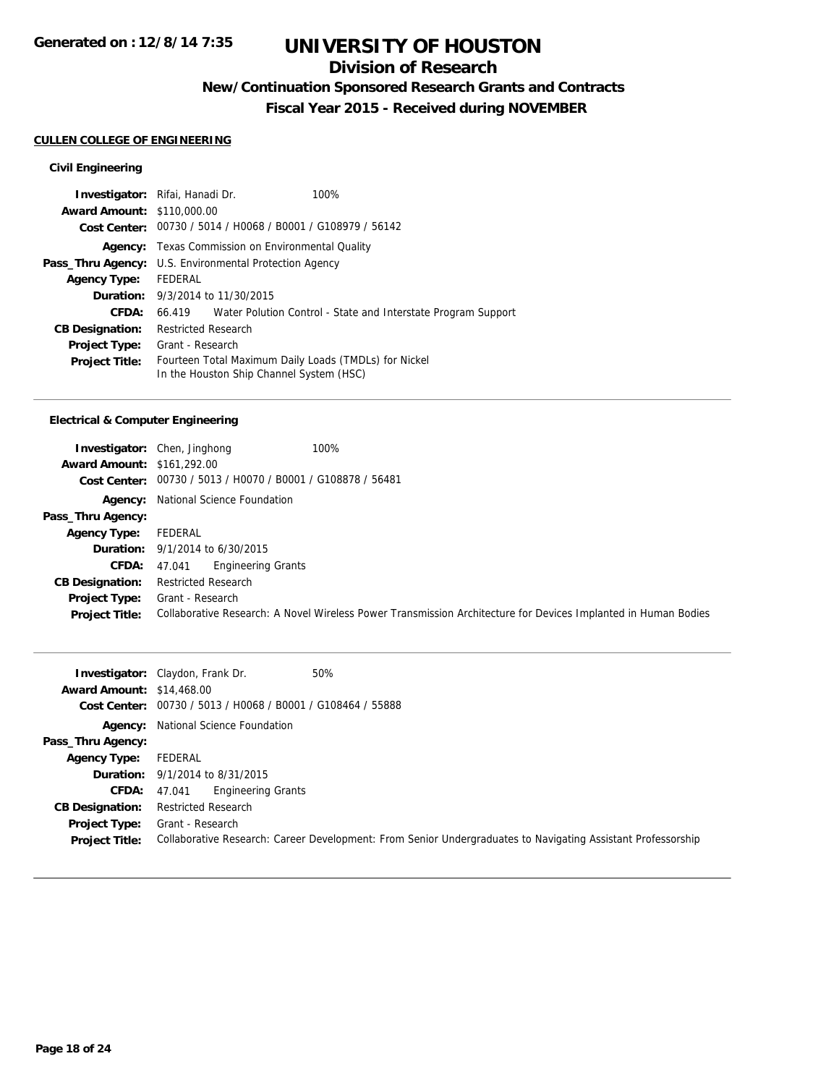## **Division of Research**

## **New/Continuation Sponsored Research Grants and Contracts**

**Fiscal Year 2015 - Received during NOVEMBER**

#### **CULLEN COLLEGE OF ENGINEERING**

#### **Civil Engineering**

| <b>Investigator:</b> Rifai, Hanadi Dr. |                                                               |                                          | 100%                                                                 |  |
|----------------------------------------|---------------------------------------------------------------|------------------------------------------|----------------------------------------------------------------------|--|
| <b>Award Amount: \$110,000.00</b>      |                                                               |                                          |                                                                      |  |
|                                        | Cost Center: 00730 / 5014 / H0068 / B0001 / G108979 / 56142   |                                          |                                                                      |  |
| Agency:                                | Texas Commission on Environmental Quality                     |                                          |                                                                      |  |
|                                        | <b>Pass_Thru Agency:</b> U.S. Environmental Protection Agency |                                          |                                                                      |  |
| <b>Agency Type:</b>                    | FFDFRAL                                                       |                                          |                                                                      |  |
|                                        | <b>Duration:</b> $9/3/2014$ to $11/30/2015$                   |                                          |                                                                      |  |
| CFDA:                                  |                                                               |                                          | 66.419 Water Polution Control - State and Interstate Program Support |  |
| <b>CB Designation:</b>                 | <b>Restricted Research</b>                                    |                                          |                                                                      |  |
| <b>Project Type:</b>                   | Grant - Research                                              |                                          |                                                                      |  |
| <b>Project Title:</b>                  |                                                               | In the Houston Ship Channel System (HSC) | Fourteen Total Maximum Daily Loads (TMDLs) for Nickel                |  |

#### **Electrical & Computer Engineering**

| <b>Award Amount: \$161,292.00</b><br>Cost Center: | 100%<br><b>Investigator:</b> Chen, Jinghong<br>00730 / 5013 / H0070 / B0001 / G108878 / 56481                                      |
|---------------------------------------------------|------------------------------------------------------------------------------------------------------------------------------------|
|                                                   | <b>Agency:</b> National Science Foundation                                                                                         |
| Pass_Thru Agency:                                 |                                                                                                                                    |
| <b>Agency Type:</b>                               | FEDERAL                                                                                                                            |
|                                                   | <b>Duration:</b> 9/1/2014 to 6/30/2015                                                                                             |
| <b>CFDA:</b> $47.041$                             | <b>Engineering Grants</b>                                                                                                          |
| <b>CB Designation:</b>                            | Restricted Research                                                                                                                |
| <b>Project Type:</b><br><b>Project Title:</b>     | Grant - Research<br>Collaborative Research: A Novel Wireless Power Transmission Architecture for Devices Implanted in Human Bodies |

|                                  | <b>Investigator:</b> Claydon, Frank Dr.        | 50%                                                                                                          |
|----------------------------------|------------------------------------------------|--------------------------------------------------------------------------------------------------------------|
| <b>Award Amount: \$14,468.00</b> |                                                |                                                                                                              |
| Cost Center:                     | 00730 / 5013 / H0068 / B0001 / G108464 / 55888 |                                                                                                              |
| Agency:                          | National Science Foundation                    |                                                                                                              |
| Pass_Thru Agency:                |                                                |                                                                                                              |
| Agency Type:                     | FEDERAL                                        |                                                                                                              |
|                                  | <b>Duration:</b> $9/1/2014$ to $8/31/2015$     |                                                                                                              |
|                                  | Engineering Grants<br><b>CFDA:</b> 47.041      |                                                                                                              |
| <b>CB Designation:</b>           | <b>Restricted Research</b>                     |                                                                                                              |
| Project Type:                    | Grant - Research                               |                                                                                                              |
| <b>Project Title:</b>            |                                                | Collaborative Research: Career Development: From Senior Undergraduates to Navigating Assistant Professorship |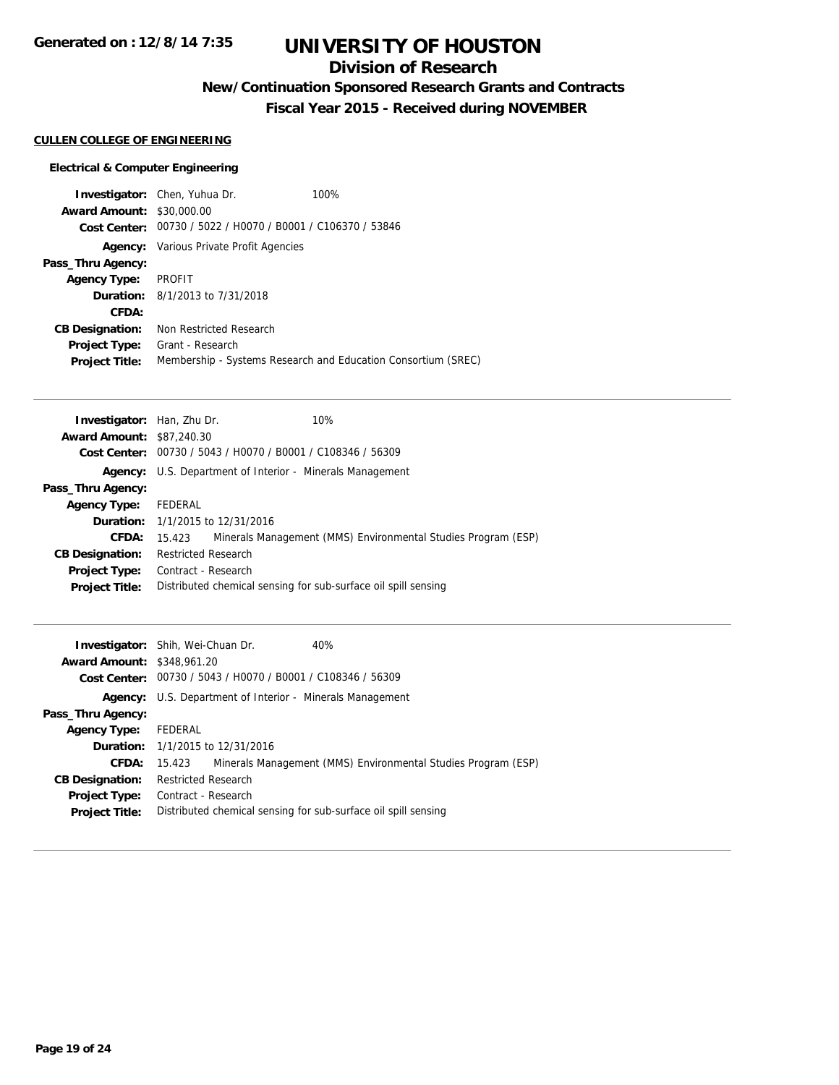## **Division of Research**

## **New/Continuation Sponsored Research Grants and Contracts**

**Fiscal Year 2015 - Received during NOVEMBER**

#### **CULLEN COLLEGE OF ENGINEERING**

#### **Electrical & Computer Engineering**

|                                  | <b>Investigator:</b> Chen, Yuhua Dr.                        | 100%                                                          |  |
|----------------------------------|-------------------------------------------------------------|---------------------------------------------------------------|--|
| <b>Award Amount: \$30,000.00</b> |                                                             |                                                               |  |
|                                  | Cost Center: 00730 / 5022 / H0070 / B0001 / C106370 / 53846 |                                                               |  |
|                                  | <b>Agency:</b> Various Private Profit Agencies              |                                                               |  |
| Pass_Thru Agency:                |                                                             |                                                               |  |
| <b>Agency Type:</b>              | PROFIT                                                      |                                                               |  |
|                                  | <b>Duration:</b> 8/1/2013 to 7/31/2018                      |                                                               |  |
| CFDA:                            |                                                             |                                                               |  |
| <b>CB Designation:</b>           | Non Restricted Research                                     |                                                               |  |
| <b>Project Type:</b>             | Grant - Research                                            |                                                               |  |
| <b>Project Title:</b>            |                                                             | Membership - Systems Research and Education Consortium (SREC) |  |

| Investigator: Han, Zhu Dr.       |                                                                  |  | 10%                                                            |  |
|----------------------------------|------------------------------------------------------------------|--|----------------------------------------------------------------|--|
| <b>Award Amount: \$87,240.30</b> |                                                                  |  |                                                                |  |
|                                  | Cost Center: 00730 / 5043 / H0070 / B0001 / C108346 / 56309      |  |                                                                |  |
|                                  | <b>Agency:</b> U.S. Department of Interior - Minerals Management |  |                                                                |  |
| Pass_Thru Agency:                |                                                                  |  |                                                                |  |
| Agency Type:                     | FEDERAL                                                          |  |                                                                |  |
|                                  | <b>Duration:</b> 1/1/2015 to 12/31/2016                          |  |                                                                |  |
| CFDA:                            | 15.423                                                           |  | Minerals Management (MMS) Environmental Studies Program (ESP)  |  |
| <b>CB Designation:</b>           | <b>Restricted Research</b>                                       |  |                                                                |  |
| Project Type:                    | Contract - Research                                              |  |                                                                |  |
| <b>Project Title:</b>            |                                                                  |  | Distributed chemical sensing for sub-surface oil spill sensing |  |
|                                  |                                                                  |  |                                                                |  |

|                                   | 40%<br><b>Investigator:</b> Shih, Wei-Chuan Dr.                         |
|-----------------------------------|-------------------------------------------------------------------------|
| <b>Award Amount: \$348,961.20</b> |                                                                         |
|                                   | Cost Center: 00730 / 5043 / H0070 / B0001 / C108346 / 56309             |
|                                   | <b>Agency:</b> U.S. Department of Interior - Minerals Management        |
| Pass_Thru Agency:                 |                                                                         |
| <b>Agency Type:</b>               | FEDERAL                                                                 |
|                                   | <b>Duration:</b> 1/1/2015 to 12/31/2016                                 |
| <b>CFDA:</b>                      | Minerals Management (MMS) Environmental Studies Program (ESP)<br>15.423 |
| <b>CB Designation:</b>            | <b>Restricted Research</b>                                              |
| <b>Project Type:</b>              | Contract - Research                                                     |
| <b>Project Title:</b>             | Distributed chemical sensing for sub-surface oil spill sensing          |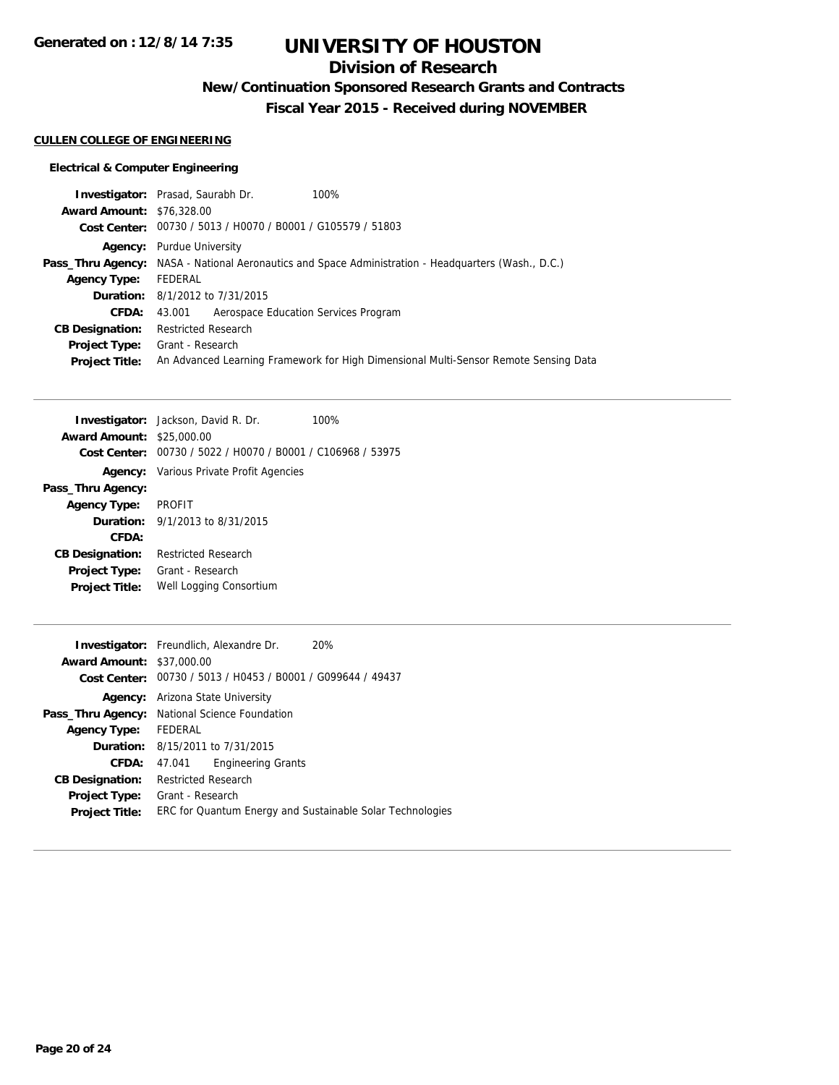## **Division of Research**

## **New/Continuation Sponsored Research Grants and Contracts**

**Fiscal Year 2015 - Received during NOVEMBER**

#### **CULLEN COLLEGE OF ENGINEERING**

#### **Electrical & Computer Engineering**

| <b>Investigator:</b> Prasad, Saurabh Dr.<br>100%                                                           |  |  |  |
|------------------------------------------------------------------------------------------------------------|--|--|--|
| <b>Award Amount: \$76,328,00</b>                                                                           |  |  |  |
| Cost Center: 00730 / 5013 / H0070 / B0001 / G105579 / 51803                                                |  |  |  |
| <b>Agency:</b> Purdue University                                                                           |  |  |  |
| <b>Pass_Thru Agency:</b> NASA - National Aeronautics and Space Administration - Headquarters (Wash., D.C.) |  |  |  |
| FEDERAL                                                                                                    |  |  |  |
| <b>Duration:</b> 8/1/2012 to 7/31/2015                                                                     |  |  |  |
| 43.001 Aerospace Education Services Program                                                                |  |  |  |
| <b>Restricted Research</b>                                                                                 |  |  |  |
| Grant - Research                                                                                           |  |  |  |
| An Advanced Learning Framework for High Dimensional Multi-Sensor Remote Sensing Data                       |  |  |  |
|                                                                                                            |  |  |  |

|                                  | <b>Investigator:</b> Jackson, David R. Dr.                  | 100% |  |
|----------------------------------|-------------------------------------------------------------|------|--|
| <b>Award Amount: \$25,000.00</b> |                                                             |      |  |
|                                  | Cost Center: 00730 / 5022 / H0070 / B0001 / C106968 / 53975 |      |  |
|                                  | <b>Agency:</b> Various Private Profit Agencies              |      |  |
| Pass_Thru Agency:                |                                                             |      |  |
| <b>Agency Type:</b>              | PROFIT                                                      |      |  |
|                                  | <b>Duration:</b> $9/1/2013$ to $8/31/2015$                  |      |  |
| CFDA:                            |                                                             |      |  |
| <b>CB Designation:</b>           | <b>Restricted Research</b>                                  |      |  |
|                                  | <b>Project Type:</b> Grant - Research                       |      |  |
| <b>Project Title:</b>            | Well Logging Consortium                                     |      |  |
|                                  |                                                             |      |  |

|                                  | <b>Investigator:</b> Freundlich, Alexandre Dr.<br>20%       |  |  |  |
|----------------------------------|-------------------------------------------------------------|--|--|--|
| <b>Award Amount: \$37,000.00</b> |                                                             |  |  |  |
|                                  | Cost Center: 00730 / 5013 / H0453 / B0001 / G099644 / 49437 |  |  |  |
| Agency:                          | Arizona State University                                    |  |  |  |
|                                  | Pass_Thru Agency: National Science Foundation               |  |  |  |
| Agency Type: FEDERAL             |                                                             |  |  |  |
|                                  | <b>Duration:</b> 8/15/2011 to 7/31/2015                     |  |  |  |
| CFDA:                            | <b>Engineering Grants</b><br>47.041                         |  |  |  |
| <b>CB Designation:</b>           | <b>Restricted Research</b>                                  |  |  |  |
| Project Type:                    | Grant - Research                                            |  |  |  |
| <b>Project Title:</b>            | ERC for Quantum Energy and Sustainable Solar Technologies   |  |  |  |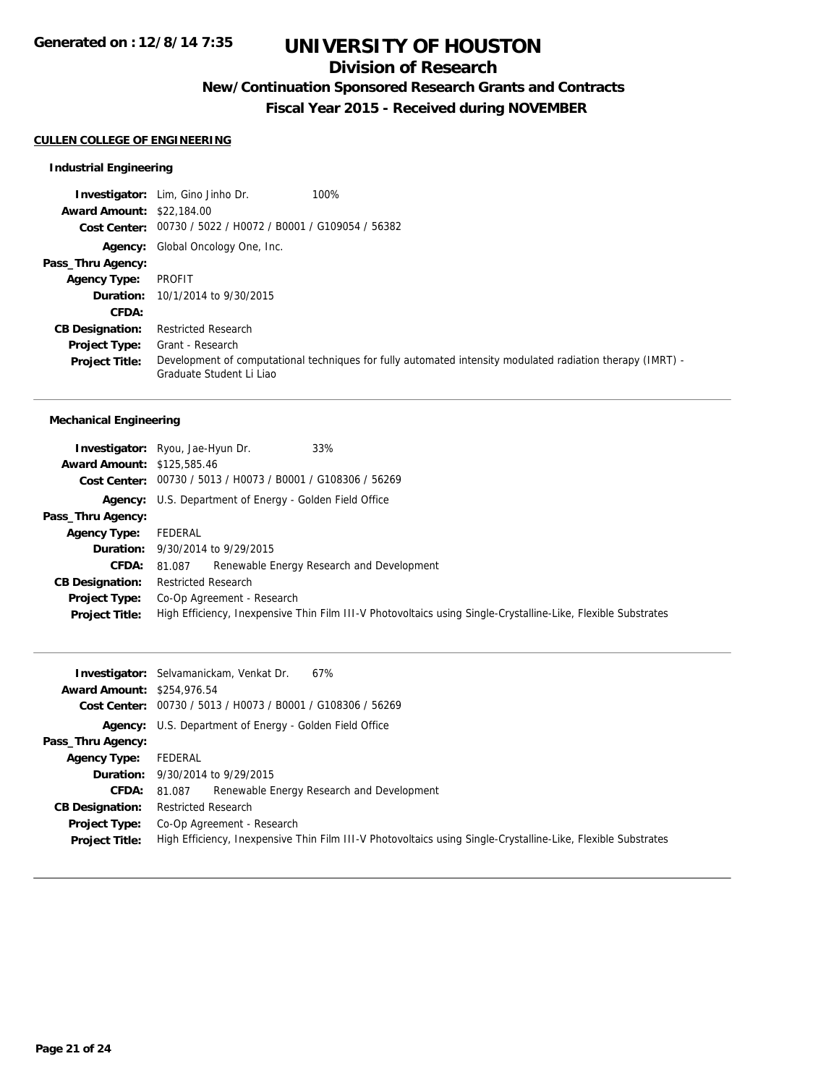## **Division of Research**

## **New/Continuation Sponsored Research Grants and Contracts**

**Fiscal Year 2015 - Received during NOVEMBER**

#### **CULLEN COLLEGE OF ENGINEERING**

#### **Industrial Engineering**

|                                  | 100%<br><b>Investigator:</b> Lim, Gino Jinho Dr.                                                                                       |
|----------------------------------|----------------------------------------------------------------------------------------------------------------------------------------|
| <b>Award Amount: \$22,184.00</b> |                                                                                                                                        |
|                                  | Cost Center: 00730 / 5022 / H0072 / B0001 / G109054 / 56382                                                                            |
|                                  | <b>Agency:</b> Global Oncology One, Inc.                                                                                               |
| Pass_Thru Agency:                |                                                                                                                                        |
| <b>Agency Type:</b>              | PROFIT                                                                                                                                 |
|                                  | <b>Duration:</b> 10/1/2014 to 9/30/2015                                                                                                |
| CFDA:                            |                                                                                                                                        |
| <b>CB Designation:</b>           | <b>Restricted Research</b>                                                                                                             |
| <b>Project Type:</b>             | Grant - Research                                                                                                                       |
| <b>Project Title:</b>            | Development of computational techniques for fully automated intensity modulated radiation therapy (IMRT) -<br>Graduate Student Li Liao |

#### **Mechanical Engineering**

| <b>Award Amount: \$125,585.46</b> | 33%<br><b>Investigator:</b> Ryou, Jae-Hyun Dr.                                                                |  |  |
|-----------------------------------|---------------------------------------------------------------------------------------------------------------|--|--|
|                                   | Cost Center: 00730 / 5013 / H0073 / B0001 / G108306 / 56269                                                   |  |  |
|                                   | <b>Agency:</b> U.S. Department of Energy - Golden Field Office                                                |  |  |
| Pass_Thru Agency:                 |                                                                                                               |  |  |
| <b>Agency Type:</b>               | FEDERAL                                                                                                       |  |  |
|                                   | <b>Duration:</b> 9/30/2014 to 9/29/2015                                                                       |  |  |
| <b>CFDA:</b>                      | Renewable Energy Research and Development<br>81.087                                                           |  |  |
| <b>CB Designation:</b>            | Restricted Research                                                                                           |  |  |
| Project Type:                     | Co-Op Agreement - Research                                                                                    |  |  |
| <b>Project Title:</b>             | High Efficiency, Inexpensive Thin Film III-V Photovoltaics using Single-Crystalline-Like, Flexible Substrates |  |  |

|                                   | <b>Investigator:</b> Selvamanickam, Venkat Dr.<br>67%                                                         |  |  |  |  |
|-----------------------------------|---------------------------------------------------------------------------------------------------------------|--|--|--|--|
| <b>Award Amount: \$254,976.54</b> |                                                                                                               |  |  |  |  |
|                                   | Cost Center: 00730 / 5013 / H0073 / B0001 / G108306 / 56269                                                   |  |  |  |  |
|                                   | <b>Agency:</b> U.S. Department of Energy - Golden Field Office                                                |  |  |  |  |
| Pass_Thru Agency:                 |                                                                                                               |  |  |  |  |
| <b>Agency Type:</b>               | FEDERAL                                                                                                       |  |  |  |  |
|                                   | <b>Duration:</b> 9/30/2014 to 9/29/2015                                                                       |  |  |  |  |
| <b>CFDA:</b>                      | Renewable Energy Research and Development<br>81.087                                                           |  |  |  |  |
| <b>CB Designation:</b>            | <b>Restricted Research</b>                                                                                    |  |  |  |  |
|                                   | <b>Project Type:</b> Co-Op Agreement - Research                                                               |  |  |  |  |
| <b>Project Title:</b>             | High Efficiency, Inexpensive Thin Film III-V Photovoltaics using Single-Crystalline-Like, Flexible Substrates |  |  |  |  |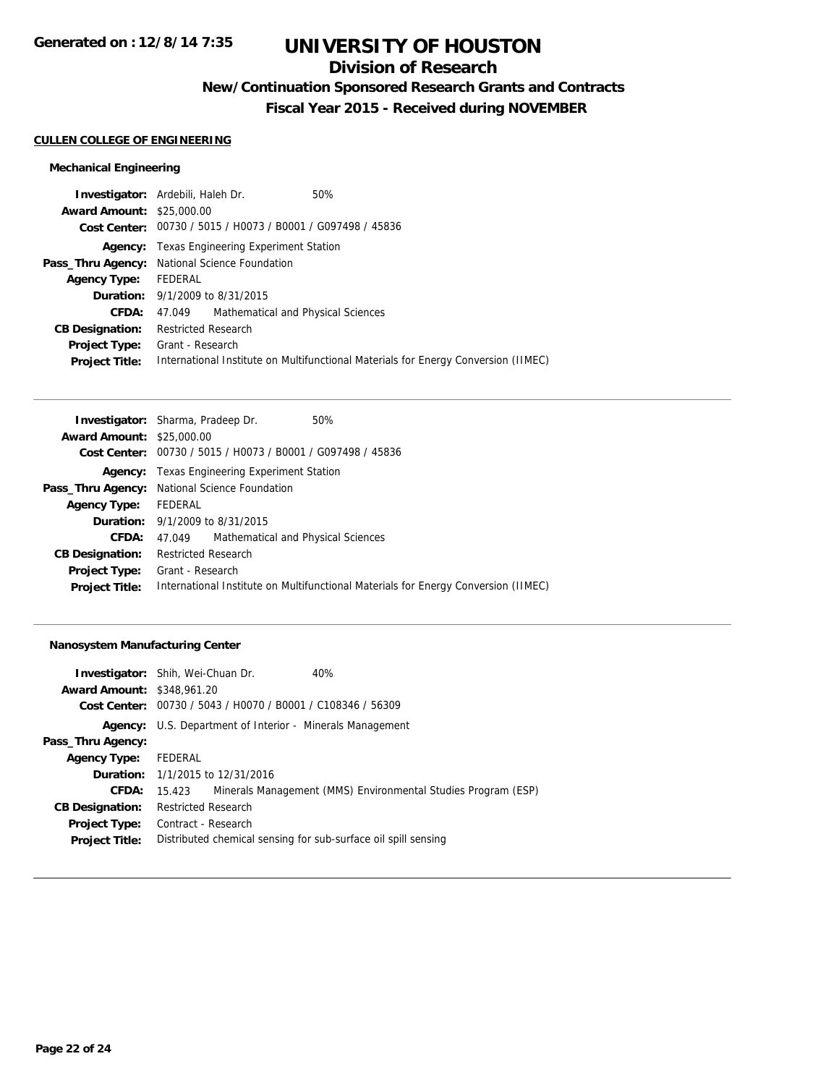## **Division of Research**

## **New/Continuation Sponsored Research Grants and Contracts**

**Fiscal Year 2015 - Received during NOVEMBER**

#### **CULLEN COLLEGE OF ENGINEERING**

#### **Mechanical Engineering**

| <b>Investigator:</b> Ardebili, Haleh Dr. |                                                             |                                           | 50%                                                                                |  |
|------------------------------------------|-------------------------------------------------------------|-------------------------------------------|------------------------------------------------------------------------------------|--|
| <b>Award Amount: \$25,000.00</b>         |                                                             |                                           |                                                                                    |  |
|                                          | Cost Center: 00730 / 5015 / H0073 / B0001 / G097498 / 45836 |                                           |                                                                                    |  |
|                                          | <b>Agency:</b> Texas Engineering Experiment Station         |                                           |                                                                                    |  |
|                                          | <b>Pass_Thru Agency:</b> National Science Foundation        |                                           |                                                                                    |  |
| <b>Agency Type:</b>                      | FEDERAL                                                     |                                           |                                                                                    |  |
|                                          | <b>Duration:</b> 9/1/2009 to 8/31/2015                      |                                           |                                                                                    |  |
| <b>CFDA:</b>                             |                                                             | 47.049 Mathematical and Physical Sciences |                                                                                    |  |
| <b>CB Designation:</b>                   | <b>Restricted Research</b>                                  |                                           |                                                                                    |  |
| <b>Project Type:</b>                     | Grant - Research                                            |                                           |                                                                                    |  |
| <b>Project Title:</b>                    |                                                             |                                           | International Institute on Multifunctional Materials for Energy Conversion (IIMEC) |  |
|                                          |                                                             |                                           |                                                                                    |  |

| <b>Investigator:</b> Sharma, Pradeep Dr. |                                                             |                                    | 50%                                                                                |  |
|------------------------------------------|-------------------------------------------------------------|------------------------------------|------------------------------------------------------------------------------------|--|
| <b>Award Amount: \$25,000.00</b>         |                                                             |                                    |                                                                                    |  |
|                                          | Cost Center: 00730 / 5015 / H0073 / B0001 / G097498 / 45836 |                                    |                                                                                    |  |
|                                          | <b>Agency:</b> Texas Engineering Experiment Station         |                                    |                                                                                    |  |
|                                          | Pass_Thru Agency: National Science Foundation               |                                    |                                                                                    |  |
| <b>Agency Type:</b>                      | FEDERAL                                                     |                                    |                                                                                    |  |
|                                          | <b>Duration:</b> $9/1/2009$ to $8/31/2015$                  |                                    |                                                                                    |  |
| <b>CFDA:</b>                             | 47.049                                                      | Mathematical and Physical Sciences |                                                                                    |  |
| <b>CB Designation:</b>                   | Restricted Research                                         |                                    |                                                                                    |  |
| <b>Project Type:</b>                     | Grant - Research                                            |                                    |                                                                                    |  |
| <b>Project Title:</b>                    |                                                             |                                    | International Institute on Multifunctional Materials for Energy Conversion (IIMEC) |  |

#### **Nanosystem Manufacturing Center**

| <b>Investigator:</b> Shih, Wei-Chuan Dr. |                                                                |  | 40%                                                           |  |  |
|------------------------------------------|----------------------------------------------------------------|--|---------------------------------------------------------------|--|--|
| <b>Award Amount: \$348,961.20</b>        |                                                                |  |                                                               |  |  |
|                                          | Cost Center: 00730 / 5043 / H0070 / B0001 / C108346 / 56309    |  |                                                               |  |  |
| Agency:                                  | U.S. Department of Interior - Minerals Management              |  |                                                               |  |  |
| Pass_Thru Agency:                        |                                                                |  |                                                               |  |  |
| <b>Agency Type:</b>                      | FEDERAL                                                        |  |                                                               |  |  |
|                                          | <b>Duration:</b> 1/1/2015 to 12/31/2016                        |  |                                                               |  |  |
| CFDA:                                    | 15.423                                                         |  | Minerals Management (MMS) Environmental Studies Program (ESP) |  |  |
| <b>CB Designation:</b>                   | <b>Restricted Research</b>                                     |  |                                                               |  |  |
| <b>Project Type:</b>                     | Contract - Research                                            |  |                                                               |  |  |
| <b>Project Title:</b>                    | Distributed chemical sensing for sub-surface oil spill sensing |  |                                                               |  |  |
|                                          |                                                                |  |                                                               |  |  |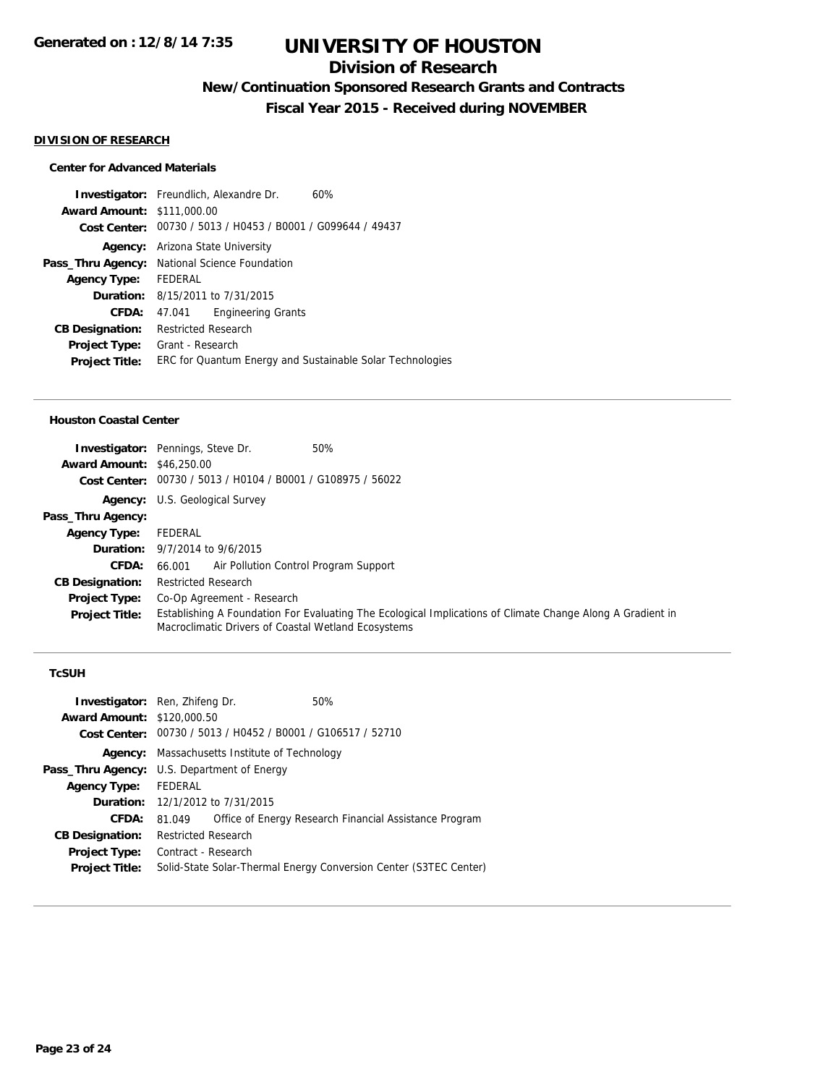## **Division of Research**

## **New/Continuation Sponsored Research Grants and Contracts**

**Fiscal Year 2015 - Received during NOVEMBER**

#### **DIVISION OF RESEARCH**

#### **Center for Advanced Materials**

|                                   | <b>Investigator:</b> Freundlich, Alexandre Dr.            | 60% |  |
|-----------------------------------|-----------------------------------------------------------|-----|--|
| <b>Award Amount: \$111,000.00</b> |                                                           |     |  |
| Cost Center:                      | 00730 / 5013 / H0453 / B0001 / G099644 / 49437            |     |  |
|                                   | <b>Agency:</b> Arizona State University                   |     |  |
|                                   | Pass_Thru Agency: National Science Foundation             |     |  |
| <b>Agency Type:</b>               | FEDERAL                                                   |     |  |
|                                   | <b>Duration:</b> $8/15/2011$ to $7/31/2015$               |     |  |
| <b>CFDA:</b>                      | <b>Engineering Grants</b><br>47.041                       |     |  |
| <b>CB Designation:</b>            | <b>Restricted Research</b>                                |     |  |
| <b>Project Type:</b>              | Grant - Research                                          |     |  |
| <b>Project Title:</b>             | ERC for Quantum Energy and Sustainable Solar Technologies |     |  |
|                                   |                                                           |     |  |

#### **Houston Coastal Center**

| <b>Award Amount: \$46,250.00</b> | 50%<br><b>Investigator:</b> Pennings, Steve Dr.                                                                                                                   |  |  |
|----------------------------------|-------------------------------------------------------------------------------------------------------------------------------------------------------------------|--|--|
|                                  | Cost Center: 00730 / 5013 / H0104 / B0001 / G108975 / 56022                                                                                                       |  |  |
|                                  | <b>Agency:</b> U.S. Geological Survey                                                                                                                             |  |  |
| Pass_Thru Agency:                |                                                                                                                                                                   |  |  |
| <b>Agency Type:</b>              | FEDERAL                                                                                                                                                           |  |  |
|                                  | <b>Duration:</b> 9/7/2014 to 9/6/2015                                                                                                                             |  |  |
| <b>CFDA:</b>                     | Air Pollution Control Program Support<br>66.001                                                                                                                   |  |  |
| <b>CB Designation:</b>           | <b>Restricted Research</b>                                                                                                                                        |  |  |
| <b>Project Type:</b>             | Co-Op Agreement - Research                                                                                                                                        |  |  |
| <b>Project Title:</b>            | Establishing A Foundation For Evaluating The Ecological Implications of Climate Change Along A Gradient in<br>Macroclimatic Drivers of Coastal Wetland Ecosystems |  |  |

#### **TcSUH**

| <b>Investigator:</b> Ren, Zhifeng Dr.<br><b>Award Amount: \$120,000.50</b> |                                                                   | Cost Center: 00730 / 5013 / H0452 / B0001 / G106517 / 52710 | 50%                                                    |  |
|----------------------------------------------------------------------------|-------------------------------------------------------------------|-------------------------------------------------------------|--------------------------------------------------------|--|
|                                                                            | <b>Agency:</b> Massachusetts Institute of Technology              |                                                             |                                                        |  |
|                                                                            | Pass_Thru Agency: U.S. Department of Energy                       |                                                             |                                                        |  |
| <b>Agency Type:</b>                                                        | FEDERAL                                                           |                                                             |                                                        |  |
|                                                                            |                                                                   | <b>Duration:</b> 12/1/2012 to $7/31/2015$                   |                                                        |  |
| CFDA:                                                                      | 81.049                                                            |                                                             | Office of Energy Research Financial Assistance Program |  |
| <b>CB Designation:</b>                                                     | <b>Restricted Research</b>                                        |                                                             |                                                        |  |
| <b>Project Type:</b>                                                       | Contract - Research                                               |                                                             |                                                        |  |
| <b>Project Title:</b>                                                      | Solid-State Solar-Thermal Energy Conversion Center (S3TEC Center) |                                                             |                                                        |  |